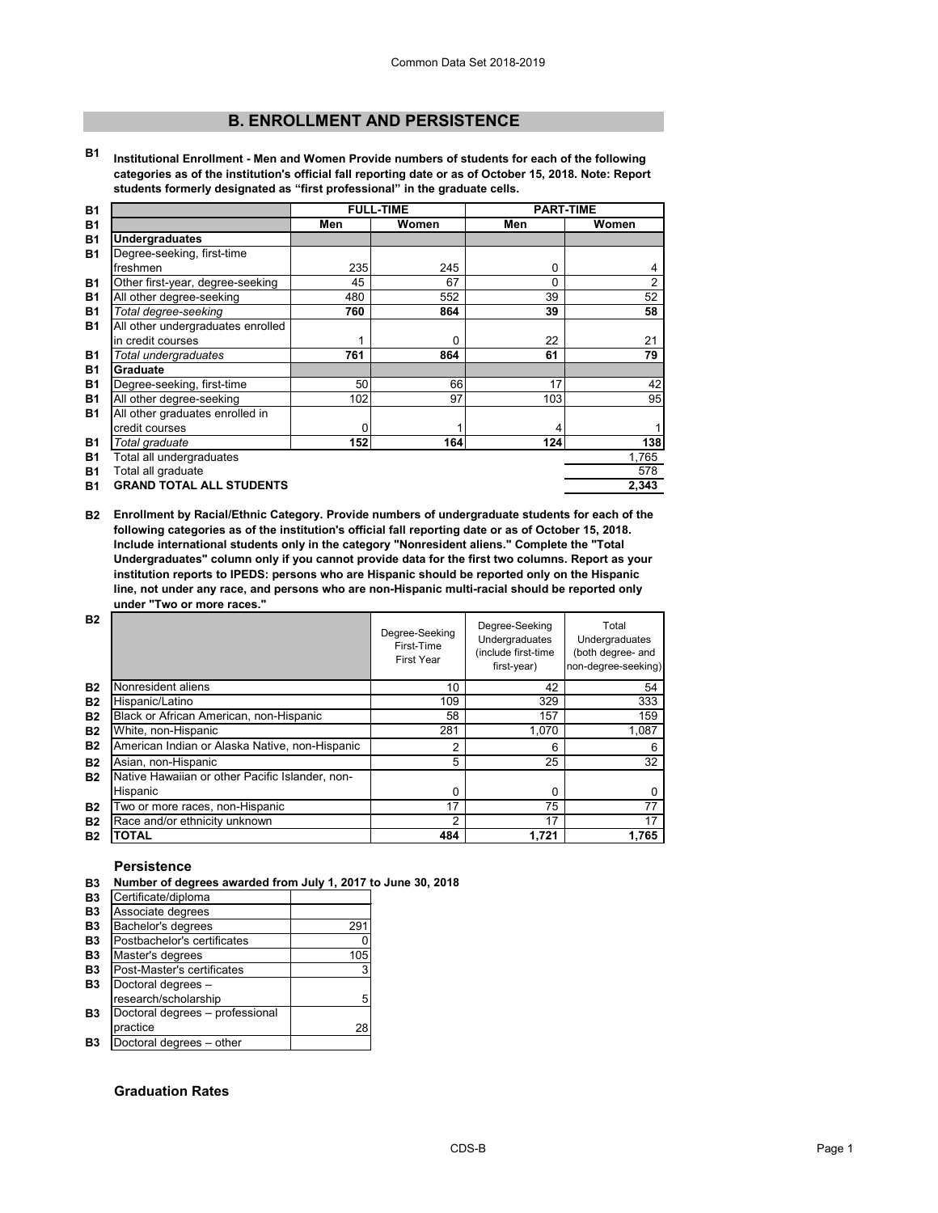# **B. ENROLLMENT AND PERSISTENCE**

**B1 Institutional Enrollment - Men and Women Provide numbers of students for each of the following categories as of the institution's official fall reporting date or as of October 15, 2018. Note: Report students formerly designated as "first professional" in the graduate cells.**

| <b>B1</b> |                                   |     | <b>FULL-TIME</b> | <b>PART-TIME</b> |                |
|-----------|-----------------------------------|-----|------------------|------------------|----------------|
| <b>B1</b> |                                   | Men | Women            | Men              | Women          |
| <b>B1</b> | <b>Undergraduates</b>             |     |                  |                  |                |
| <b>B1</b> | Degree-seeking, first-time        |     |                  |                  |                |
|           | freshmen                          | 235 | 245              | 0                | 4              |
| <b>B1</b> | Other first-year, degree-seeking  | 45  | 67               | 0                | $\overline{2}$ |
| <b>B1</b> | All other degree-seeking          | 480 | 552              | 39               | 52             |
| <b>B1</b> | Total degree-seeking              | 760 | 864              | 39               | 58             |
| <b>B1</b> | All other undergraduates enrolled |     |                  |                  |                |
|           | in credit courses                 |     | 0                | 22               | 21             |
| <b>B1</b> | Total undergraduates              | 761 | 864              | 61               | 79             |
| <b>B1</b> | <b>Graduate</b>                   |     |                  |                  |                |
| <b>B1</b> | Degree-seeking, first-time        | 50  | 66               | 17               | 42             |
| <b>B1</b> | All other degree-seeking          | 102 | 97               | 103              | 95             |
| <b>B1</b> | All other graduates enrolled in   |     |                  |                  |                |
|           | credit courses                    | 0   |                  |                  | 1              |
| <b>B1</b> | Total graduate                    | 152 | 164              | 124              | 138            |
| <b>B1</b> | Total all undergraduates          |     |                  |                  | 1,765          |
| <b>B1</b> | Total all graduate                |     |                  |                  | 578            |
| <b>B1</b> | <b>GRAND TOTAL ALL STUDENTS</b>   |     |                  |                  | 2,343          |

**B2 Enrollment by Racial/Ethnic Category. Provide numbers of undergraduate students for each of the following categories as of the institution's official fall reporting date or as of October 15, 2018. Include international students only in the category "Nonresident aliens." Complete the "Total Undergraduates" column only if you cannot provide data for the first two columns. Report as your institution reports to IPEDS: persons who are Hispanic should be reported only on the Hispanic line, not under any race, and persons who are non-Hispanic multi-racial should be reported only under "Two or more races."** 

| <b>B2</b> |                                                 | Degree-Seeking<br>First-Time<br><b>First Year</b> | Degree-Seeking<br><b>Undergraduates</b><br>(include first-time<br>first-year) | Total<br>Undergraduates<br>(both degree- and<br>non-degree-seeking) |
|-----------|-------------------------------------------------|---------------------------------------------------|-------------------------------------------------------------------------------|---------------------------------------------------------------------|
| <b>B2</b> | Nonresident aliens                              | 10                                                | 42                                                                            | 54                                                                  |
| <b>B2</b> | Hispanic/Latino                                 | 109                                               | 329                                                                           | 333                                                                 |
| <b>B2</b> | Black or African American, non-Hispanic         | 58                                                | 157                                                                           | 159                                                                 |
| <b>B2</b> | White, non-Hispanic                             | 281                                               | 1,070                                                                         | 1,087                                                               |
| <b>B2</b> | American Indian or Alaska Native, non-Hispanic  | 2                                                 | 6                                                                             | 6                                                                   |
| <b>B2</b> | Asian, non-Hispanic                             | 5                                                 | 25                                                                            | 32                                                                  |
| <b>B2</b> | Native Hawaiian or other Pacific Islander, non- |                                                   |                                                                               |                                                                     |
|           | Hispanic                                        | 0                                                 | 0                                                                             | 0                                                                   |
| <b>B2</b> | Two or more races, non-Hispanic                 | 17                                                | 75                                                                            | 77                                                                  |
| <b>B2</b> | Race and/or ethnicity unknown                   | 2                                                 | 17                                                                            | 17                                                                  |
| <b>B2</b> | <b>TOTAL</b>                                    | 484                                               | 1,721                                                                         | 1,765                                                               |

# **Persistence**

**B3 Number of degrees awarded from July 1, 2017 to June 30, 2018**

| <b>B3</b> | Certificate/diploma             |     |
|-----------|---------------------------------|-----|
| <b>B3</b> | Associate degrees               |     |
| <b>B3</b> | Bachelor's degrees              | 291 |
| <b>B3</b> | Postbachelor's certificates     |     |
| <b>B3</b> | Master's degrees                | 105 |
| <b>B3</b> | Post-Master's certificates      |     |
| <b>B3</b> | Doctoral degrees -              |     |
|           | research/scholarship            | 5   |
| <b>B3</b> | Doctoral degrees - professional |     |
|           | practice                        | 28  |
| Β3        | Doctoral degrees - other        |     |

# **Graduation Rates**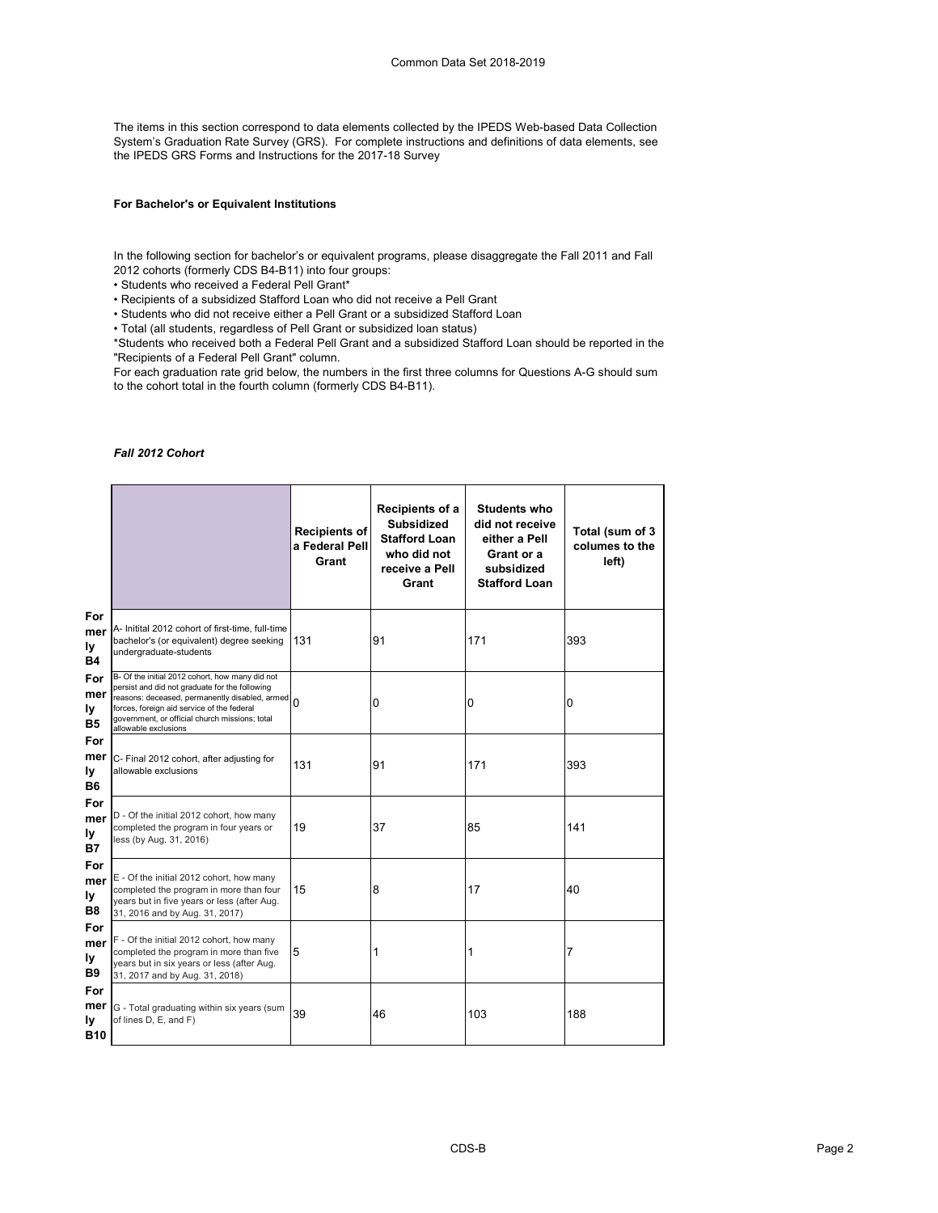The items in this section correspond to data elements collected by the IPEDS Web-based Data Collection System's Graduation Rate Survey (GRS). For complete instructions and definitions of data elements, see the IPEDS GRS Forms and Instructions for the 2017-18 Survey

## **For Bachelor's or Equivalent Institutions**

In the following section for bachelor's or equivalent programs, please disaggregate the Fall 2011 and Fall 2012 cohorts (formerly CDS B4-B11) into four groups:

• Students who received a Federal Pell Grant\*

• Recipients of a subsidized Stafford Loan who did not receive a Pell Grant

• Students who did not receive either a Pell Grant or a subsidized Stafford Loan

• Total (all students, regardless of Pell Grant or subsidized loan status)

\*Students who received both a Federal Pell Grant and a subsidized Stafford Loan should be reported in the "Recipients of a Federal Pell Grant" column.

For each graduation rate grid below, the numbers in the first three columns for Questions A-G should sum to the cohort total in the fourth column (formerly CDS B4-B11).

### *Fall 2012 Cohort*

|                                       |                                                                                                                                                                                                                                                                             | <b>Recipients of</b><br>a Federal Pell<br>Grant | Recipients of a<br><b>Subsidized</b><br><b>Stafford Loan</b><br>who did not<br>receive a Pell<br>Grant | <b>Students who</b><br>did not receive<br>either a Pell<br>Grant or a<br>subsidized<br><b>Stafford Loan</b> | Total (sum of 3<br>columes to the<br>left) |
|---------------------------------------|-----------------------------------------------------------------------------------------------------------------------------------------------------------------------------------------------------------------------------------------------------------------------------|-------------------------------------------------|--------------------------------------------------------------------------------------------------------|-------------------------------------------------------------------------------------------------------------|--------------------------------------------|
| For<br>mer<br>ly<br><b>B4</b>         | A- Initital 2012 cohort of first-time, full-time<br>bachelor's (or equivalent) degree seeking<br>undergraduate-students                                                                                                                                                     | 131                                             | 91                                                                                                     | 171                                                                                                         | 393                                        |
| For<br>mer<br>ly<br><b>B5</b>         | B- Of the initial 2012 cohort, how many did not<br>persist and did not graduate for the following<br>reasons: deceased, permanently disabled, armed<br>forces, foreign aid service of the federal<br>government, or official church missions; total<br>allowable exclusions | $\Omega$                                        | 0                                                                                                      | 0                                                                                                           | 0                                          |
| For<br>mer<br>ly<br><b>B6</b>         | C- Final 2012 cohort, after adjusting for<br>allowable exclusions                                                                                                                                                                                                           | 131                                             | 91                                                                                                     | 171                                                                                                         | 393                                        |
| For<br>mer<br>ly<br><b>B7</b>         | D - Of the initial 2012 cohort, how many<br>completed the program in four years or<br>less (by Aug. 31, 2016)                                                                                                                                                               | 19                                              | 37                                                                                                     | 85                                                                                                          | 141                                        |
| For<br>mer<br>ly<br><b>B8</b>         | E - Of the initial 2012 cohort, how many<br>completed the program in more than four<br>years but in five years or less (after Aug.<br>31, 2016 and by Aug. 31, 2017)                                                                                                        | 15                                              | 8                                                                                                      | 17                                                                                                          | 40                                         |
| For<br>mer<br>ly<br><b>B9</b>         | F - Of the initial 2012 cohort, how many<br>completed the program in more than five<br>years but in six years or less (after Aug.<br>31, 2017 and by Aug. 31, 2018)                                                                                                         | 5                                               | 1                                                                                                      | 1                                                                                                           | 7                                          |
| For<br>mer<br><u>ly</u><br><b>B10</b> | G - Total graduating within six years (sum<br>of lines D, E, and F)                                                                                                                                                                                                         | 39                                              | 46                                                                                                     | 103                                                                                                         | 188                                        |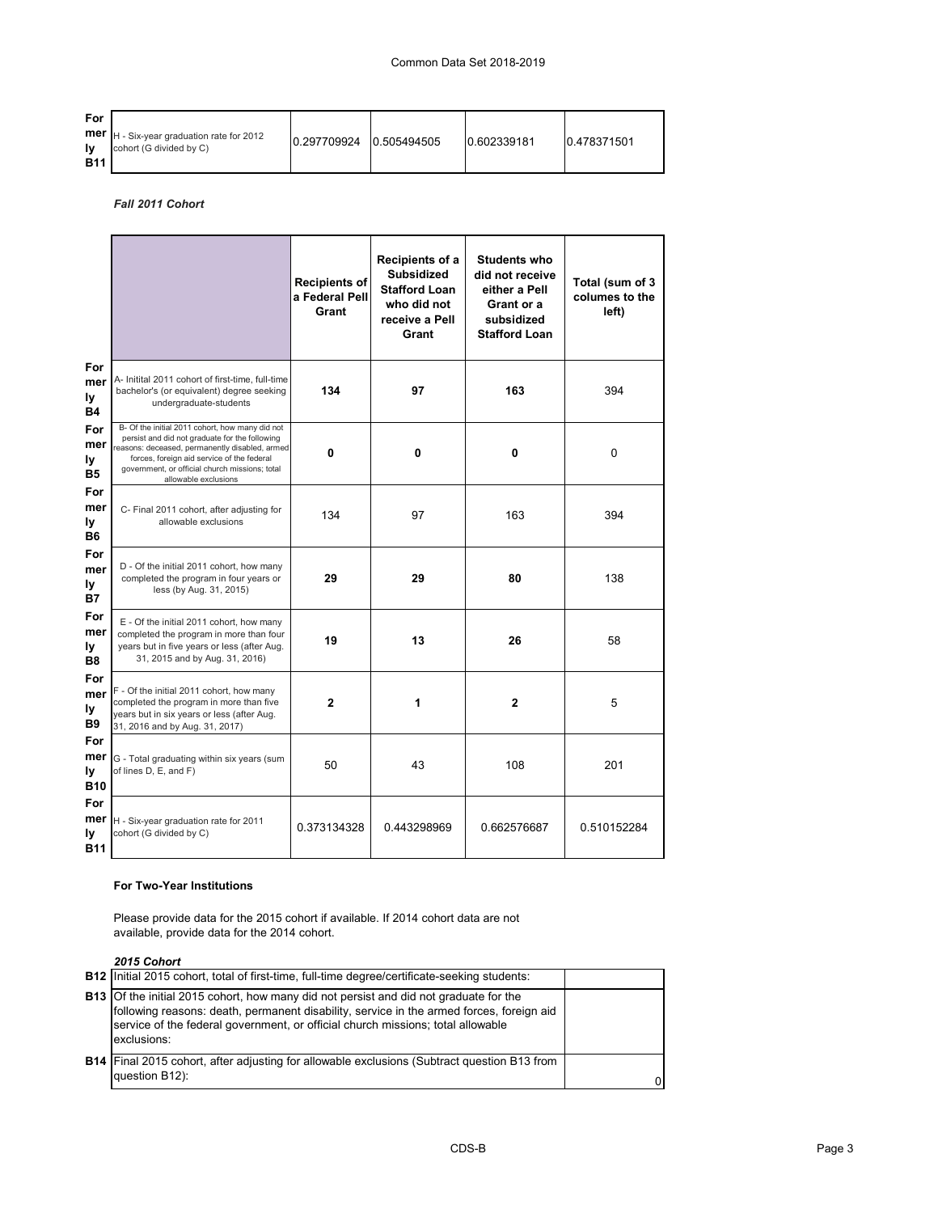# Common Data Set 2018-2019

| <b>For</b><br><b>Iv</b><br><b>B11</b> | <b>mer</b> $ H - Six-year graduation rate for 2012$<br>cohort (G divided by C) | 0.297709924 | 0.505494505 | 0.602339181 | 0.478371501 |
|---------------------------------------|--------------------------------------------------------------------------------|-------------|-------------|-------------|-------------|
|---------------------------------------|--------------------------------------------------------------------------------|-------------|-------------|-------------|-------------|

*Fall 2011 Cohort*

|                                       |                                                                                                                                                                                                                                                                             | <b>Recipients of</b><br>a Federal Pell<br>Grant | Recipients of a<br><b>Subsidized</b><br><b>Stafford Loan</b><br>who did not<br>receive a Pell<br>Grant | <b>Students who</b><br>did not receive<br>either a Pell<br>Grant or a<br>subsidized<br><b>Stafford Loan</b> | Total (sum of 3<br>columes to the<br>left) |
|---------------------------------------|-----------------------------------------------------------------------------------------------------------------------------------------------------------------------------------------------------------------------------------------------------------------------------|-------------------------------------------------|--------------------------------------------------------------------------------------------------------|-------------------------------------------------------------------------------------------------------------|--------------------------------------------|
| For<br>mer<br>ly<br><b>B4</b>         | A- Initital 2011 cohort of first-time, full-time<br>bachelor's (or equivalent) degree seeking<br>undergraduate-students                                                                                                                                                     | 134                                             | 97                                                                                                     | 163                                                                                                         | 394                                        |
| For<br>mer<br>ly<br><b>B5</b>         | B- Of the initial 2011 cohort, how many did not<br>persist and did not graduate for the following<br>reasons: deceased, permanently disabled, armed<br>forces, foreign aid service of the federal<br>government, or official church missions; total<br>allowable exclusions | 0                                               | 0                                                                                                      | 0                                                                                                           | $\mathbf 0$                                |
| For<br>mer<br>ly<br><b>B6</b>         | C- Final 2011 cohort, after adjusting for<br>allowable exclusions                                                                                                                                                                                                           | 134                                             | 97                                                                                                     | 163                                                                                                         | 394                                        |
| For<br>mer<br>ly<br><b>B7</b>         | D - Of the initial 2011 cohort, how many<br>completed the program in four years or<br>less (by Aug. 31, 2015)                                                                                                                                                               | 29                                              | 29                                                                                                     | 80                                                                                                          | 138                                        |
| For<br>mer<br>Iу<br><b>B8</b>         | E - Of the initial 2011 cohort, how many<br>completed the program in more than four<br>years but in five years or less (after Aug.<br>31, 2015 and by Aug. 31, 2016)                                                                                                        | 19                                              | 13                                                                                                     | 26                                                                                                          | 58                                         |
| For<br>mer<br>ly<br><b>B9</b>         | F - Of the initial 2011 cohort, how many<br>completed the program in more than five<br>years but in six years or less (after Aug.<br>31, 2016 and by Aug. 31, 2017)                                                                                                         | $\mathbf{2}$                                    | 1                                                                                                      | $\mathbf 2$                                                                                                 | 5                                          |
| For<br>mer<br>ly<br><b>B10</b>        | G - Total graduating within six years (sum<br>of lines D, E, and F)                                                                                                                                                                                                         | 50                                              | 43                                                                                                     | 108                                                                                                         | 201                                        |
| For<br>mer<br><b>ly</b><br><b>B11</b> | H - Six-year graduation rate for 2011<br>cohort (G divided by C)                                                                                                                                                                                                            | 0.373134328                                     | 0.443298969                                                                                            | 0.662576687                                                                                                 | 0.510152284                                |

### **For Two-Year Institutions**

Please provide data for the 2015 cohort if available. If 2014 cohort data are not available, provide data for the 2014 cohort.

*2015 Cohort*

| LUIU UUIIUI L                                                                                                                                                                                                                                                                              |  |
|--------------------------------------------------------------------------------------------------------------------------------------------------------------------------------------------------------------------------------------------------------------------------------------------|--|
| <b>B12</b> Initial 2015 cohort, total of first-time, full-time degree/certificate-seeking students:                                                                                                                                                                                        |  |
| <b>B13</b> Of the initial 2015 cohort, how many did not persist and did not graduate for the<br>following reasons: death, permanent disability, service in the armed forces, foreign aid<br>service of the federal government, or official church missions; total allowable<br>exclusions: |  |
| <b>B14</b> Final 2015 cohort, after adjusting for allowable exclusions (Subtract question B13 from<br>question B12):                                                                                                                                                                       |  |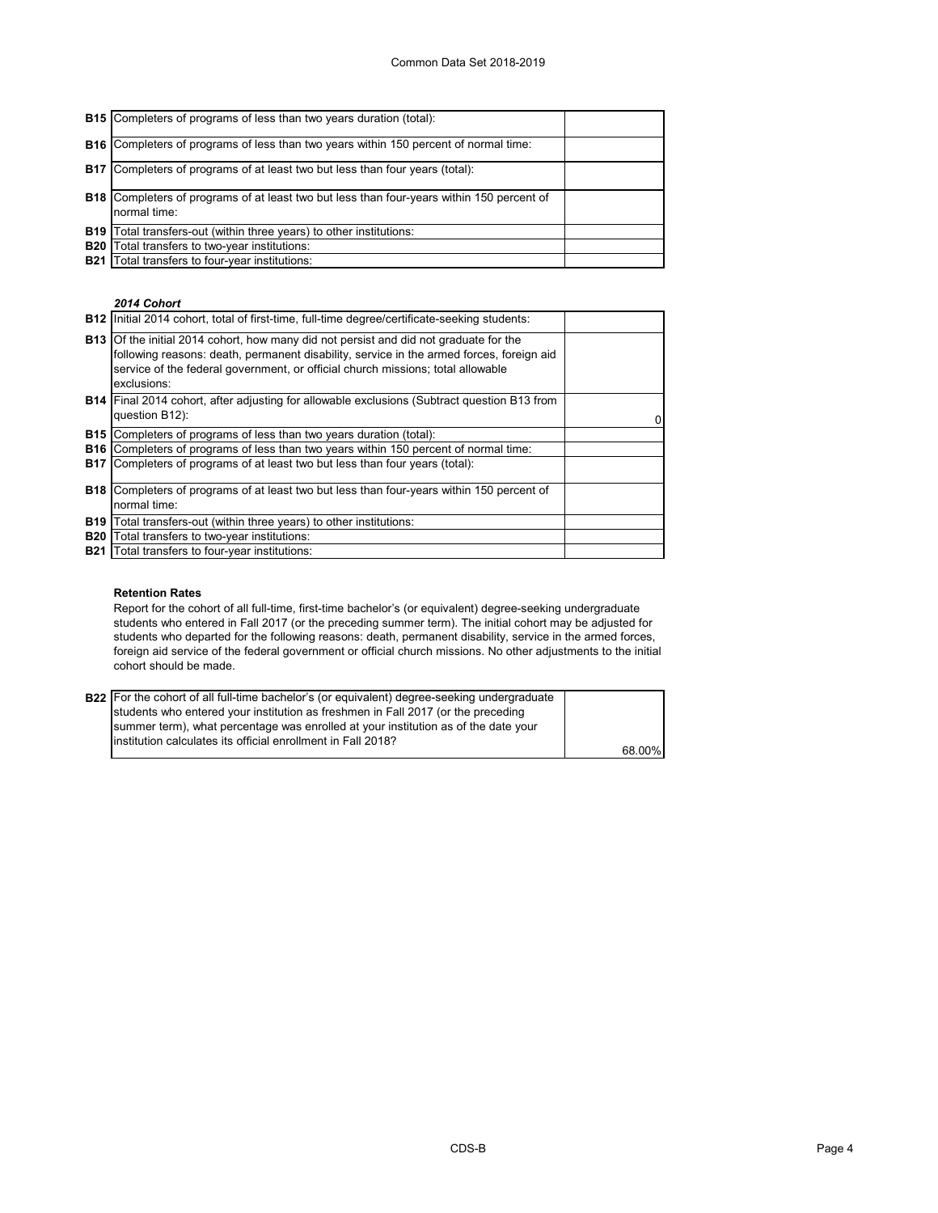|            | <b>B15</b> Completers of programs of less than two years duration (total):                                       |  |
|------------|------------------------------------------------------------------------------------------------------------------|--|
|            | <b>B16</b> Completers of programs of less than two years within 150 percent of normal time:                      |  |
|            | <b>B17</b> Completers of programs of at least two but less than four years (total):                              |  |
|            | <b>B18</b> Completers of programs of at least two but less than four-years within 150 percent of<br>normal time: |  |
| <b>B19</b> | Total transfers-out (within three years) to other institutions:                                                  |  |
| <b>B20</b> | Total transfers to two-year institutions:                                                                        |  |
| <b>B21</b> | Total transfers to four-year institutions:                                                                       |  |

### *2014 Cohort*

|            | <b>B12</b> Initial 2014 cohort, total of first-time, full-time degree/certificate-seeking students:                                                                                                                                                                                        |  |
|------------|--------------------------------------------------------------------------------------------------------------------------------------------------------------------------------------------------------------------------------------------------------------------------------------------|--|
|            | <b>B13</b> Of the initial 2014 cohort, how many did not persist and did not graduate for the<br>following reasons: death, permanent disability, service in the armed forces, foreign aid<br>service of the federal government, or official church missions; total allowable<br>exclusions: |  |
|            | <b>B14</b> Final 2014 cohort, after adjusting for allowable exclusions (Subtract question B13 from<br>question B12):                                                                                                                                                                       |  |
| <b>B15</b> | Completers of programs of less than two years duration (total):                                                                                                                                                                                                                            |  |
|            | <b>B16</b> Completers of programs of less than two years within 150 percent of normal time:                                                                                                                                                                                                |  |
| <b>B17</b> | Completers of programs of at least two but less than four years (total):                                                                                                                                                                                                                   |  |
|            | <b>B18</b> Completers of programs of at least two but less than four-years within 150 percent of<br>normal time:                                                                                                                                                                           |  |
|            | B19   Total transfers-out (within three years) to other institutions:                                                                                                                                                                                                                      |  |
| <b>B20</b> | Total transfers to two-year institutions:                                                                                                                                                                                                                                                  |  |
|            | <b>B21</b> Total transfers to four-year institutions:                                                                                                                                                                                                                                      |  |

## **Retention Rates**

Report for the cohort of all full-time, first-time bachelor's (or equivalent) degree-seeking undergraduate students who entered in Fall 2017 (or the preceding summer term). The initial cohort may be adjusted for students who departed for the following reasons: death, permanent disability, service in the armed forces, foreign aid service of the federal government or official church missions. No other adjustments to the initial cohort should be made.

| <b>B22</b> For the cohort of all full-time bachelor's (or equivalent) degree-seeking undergraduate |        |
|----------------------------------------------------------------------------------------------------|--------|
| students who entered your institution as freshmen in Fall 2017 (or the preceding                   |        |
| summer term), what percentage was enrolled at your institution as of the date your                 |        |
| Institution calculates its official enrollment in Fall 2018?                                       |        |
|                                                                                                    | 68.00% |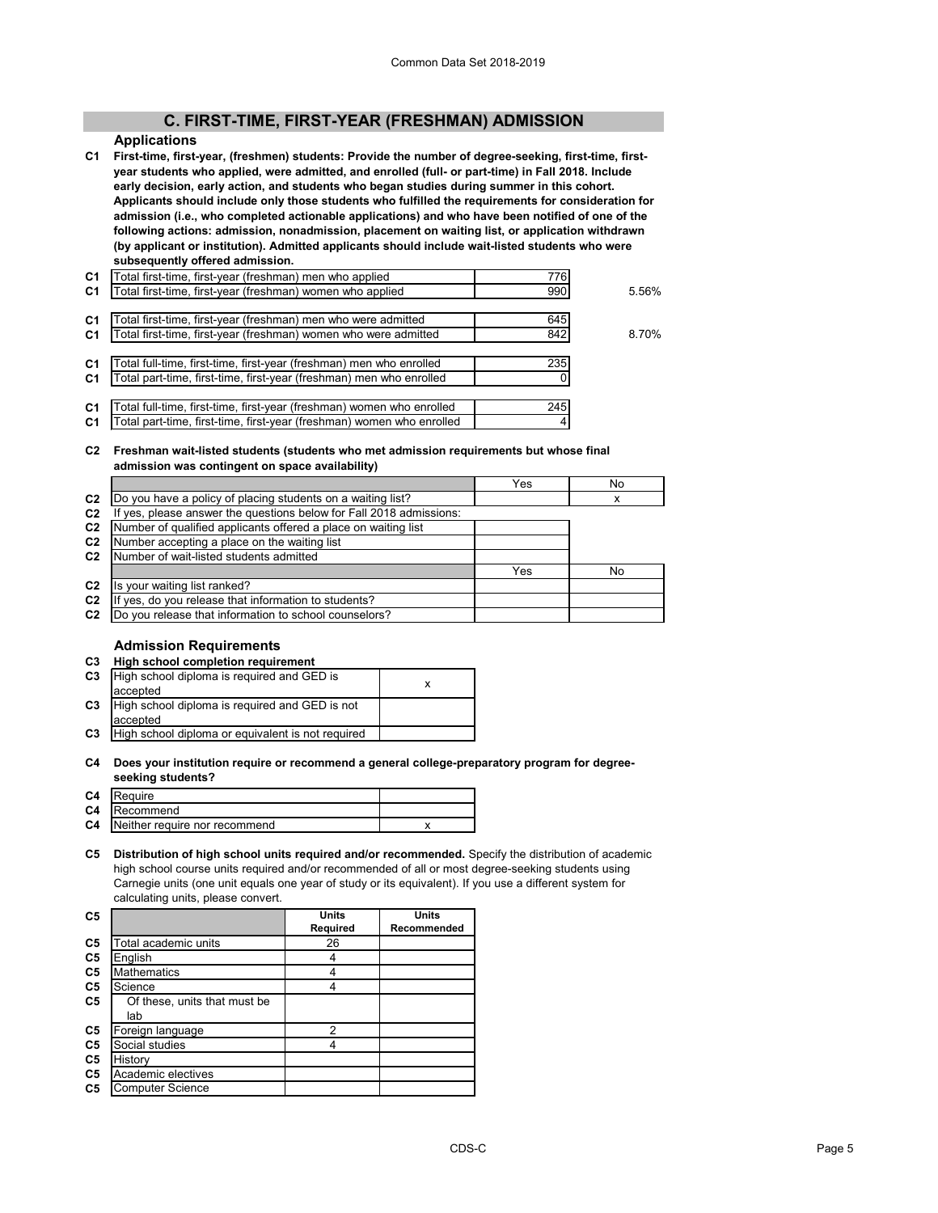# **C. FIRST-TIME, FIRST-YEAR (FRESHMAN) ADMISSION**

# **Applications**

**C1 First-time, first-year, (freshmen) students: Provide the number of degree-seeking, first-time, firstyear students who applied, were admitted, and enrolled (full- or part-time) in Fall 2018. Include early decision, early action, and students who began studies during summer in this cohort. Applicants should include only those students who fulfilled the requirements for consideration for admission (i.e., who completed actionable applications) and who have been notified of one of the following actions: admission, nonadmission, placement on waiting list, or application withdrawn (by applicant or institution). Admitted applicants should include wait-listed students who were subsequently offered admission.**

| C <sub>1</sub> | Total first-time, first-year (freshman) men who applied               | 776 |       |
|----------------|-----------------------------------------------------------------------|-----|-------|
| C <sub>1</sub> | Total first-time, first-year (freshman) women who applied             | 990 | 5.56% |
|                |                                                                       |     |       |
| C <sub>1</sub> | Total first-time, first-year (freshman) men who were admitted         | 645 |       |
| C <sub>1</sub> | Total first-time, first-year (freshman) women who were admitted       | 842 | 8.70% |
|                |                                                                       |     |       |
| C <sub>1</sub> | Total full-time, first-time, first-year (freshman) men who enrolled   | 235 |       |
| C <sub>1</sub> | Total part-time, first-time, first-year (freshman) men who enrolled   |     |       |
|                |                                                                       |     |       |
| C1             | Total full-time, first-time, first-year (freshman) women who enrolled | 245 |       |
| C <sub>1</sub> | Total part-time, first-time, first-year (freshman) women who enrolled |     |       |

**C2 Freshman wait-listed students (students who met admission requirements but whose final admission was contingent on space availability)**

|                | aannoolon was contingent on space avanasinty,                    |     |    |  |  |
|----------------|------------------------------------------------------------------|-----|----|--|--|
|                |                                                                  | Yes | No |  |  |
| C <sub>2</sub> | Do you have a policy of placing students on a waiting list?      |     | x  |  |  |
| C <sub>2</sub> | yes, please answer the questions below for Fall 2018 admissions: |     |    |  |  |
| C <sub>2</sub> | Number of qualified applicants offered a place on waiting list   |     |    |  |  |
| C <sub>2</sub> | Number accepting a place on the waiting list                     |     |    |  |  |
| C <sub>2</sub> | Number of wait-listed students admitted                          |     |    |  |  |
|                |                                                                  | Yes | No |  |  |
| C <sub>2</sub> | Is your waiting list ranked?                                     |     |    |  |  |
| C <sub>2</sub> | yes, do you release that information to students?                |     |    |  |  |
| C <sub>2</sub> | Do you release that information to school counselors?            |     |    |  |  |

# **Admission Requirements**

| C <sub>3</sub> | High school completion requirement                |   |
|----------------|---------------------------------------------------|---|
| C <sub>3</sub> | High school diploma is required and GED is        | x |
|                | accepted                                          |   |
| C <sub>3</sub> | High school diploma is required and GED is not    |   |
|                | laccepted                                         |   |
| C <sub>3</sub> | High school diploma or equivalent is not required |   |
|                |                                                   |   |

**C4 Does your institution require or recommend a general college-preparatory program for degreeseeking students?**

| C <sub>4</sub> | Require                                 |  |
|----------------|-----------------------------------------|--|
|                | <b>C4</b> Recommend                     |  |
|                | <b>C4</b> Neither require nor recommend |  |

**C5 Distribution of high school units required and/or recommended.** Specify the distribution of academic high school course units required and/or recommended of all or most degree-seeking students using Carnegie units (one unit equals one year of study or its equivalent). If you use a different system for calculating units, please convert.

| C <sub>5</sub> |                              | <b>Units</b>    | <b>Units</b> |
|----------------|------------------------------|-----------------|--------------|
|                |                              | <b>Required</b> | Recommended  |
| C <sub>5</sub> | Total academic units         | 26              |              |
| C <sub>5</sub> | English                      | 4               |              |
| C <sub>5</sub> | Mathematics                  |                 |              |
| C <sub>5</sub> | Science                      |                 |              |
| C <sub>5</sub> | Of these, units that must be |                 |              |
|                | lab                          |                 |              |
| C <sub>5</sub> | Foreign language             | 2               |              |
| C <sub>5</sub> | Social studies               |                 |              |
| C <sub>5</sub> | History                      |                 |              |
| C <sub>5</sub> | Academic electives           |                 |              |
| C <sub>5</sub> | <b>Computer Science</b>      |                 |              |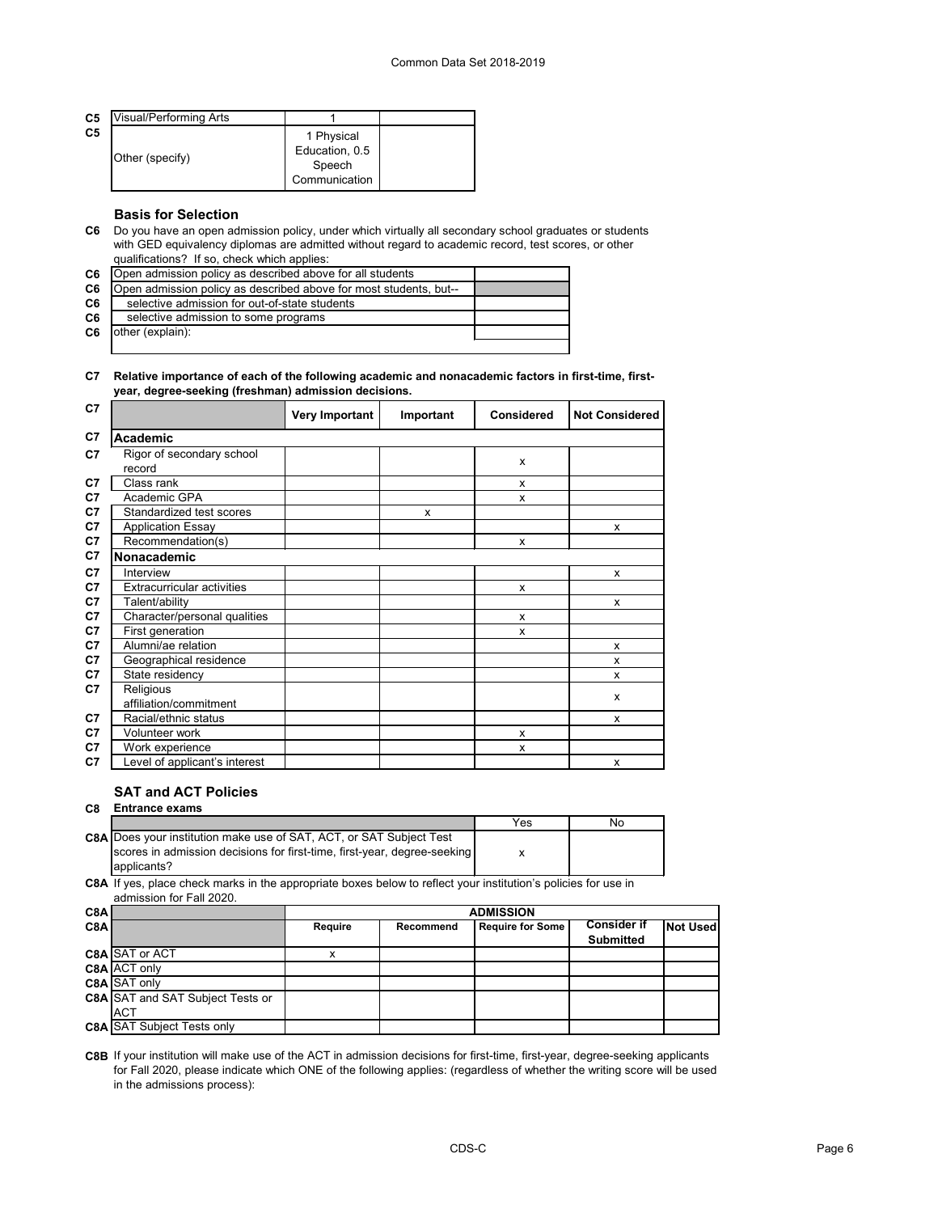| C <sub>5</sub> | Visual/Performing Arts |                                                         |  |
|----------------|------------------------|---------------------------------------------------------|--|
| C <sub>5</sub> | Other (specify)        | 1 Physical<br>Education, 0.5<br>Speech<br>Communication |  |

# **Basis for Selection**

**C6** Do you have an open admission policy, under which virtually all secondary school graduates or students with GED equivalency diplomas are admitted without regard to academic record, test scores, or other qualifications? If so, check which applies:

| C6             | Open admission policy as described above for all students         |  |
|----------------|-------------------------------------------------------------------|--|
| C6             | Open admission policy as described above for most students, but-- |  |
| C <sub>6</sub> | selective admission for out-of-state students                     |  |
| C6             | selective admission to some programs                              |  |
| C6             | other (explain):                                                  |  |
|                |                                                                   |  |

### **C7 Relative importance of each of the following academic and nonacademic factors in first-time, firstyear, degree-seeking (freshman) admission decisions.**

| C7             |                                     | <b>Very Important</b> | Important | <b>Considered</b>         | <b>Not Considered</b> |
|----------------|-------------------------------------|-----------------------|-----------|---------------------------|-----------------------|
| C7             | <b>Academic</b>                     |                       |           |                           |                       |
| C7             | Rigor of secondary school<br>record |                       |           | X                         |                       |
| C7             | Class rank                          |                       |           | X                         |                       |
| C <sub>7</sub> | Academic GPA                        |                       |           | X                         |                       |
| C7             | Standardized test scores            |                       | X         |                           |                       |
| C7             | <b>Application Essay</b>            |                       |           |                           | X                     |
| C7             | Recommendation(s)                   |                       |           | $\boldsymbol{\mathsf{x}}$ |                       |
| C7             | Nonacademic                         |                       |           |                           |                       |
| C <sub>7</sub> | Interview                           |                       |           |                           | X                     |
| C7             | <b>Extracurricular activities</b>   |                       |           | X                         |                       |
| C7             | Talent/ability                      |                       |           |                           | X                     |
| C7             | Character/personal qualities        |                       |           | X                         |                       |
| C7             | First generation                    |                       |           | X                         |                       |
| C7             | Alumni/ae relation                  |                       |           |                           | X                     |
| C7             | Geographical residence              |                       |           |                           | X                     |
| C <sub>7</sub> | State residency                     |                       |           |                           | X                     |
| C7             | Religious                           |                       |           |                           | X                     |
|                | affiliation/commitment              |                       |           |                           |                       |
| C <sub>7</sub> | Racial/ethnic status                |                       |           |                           | X                     |
| C7             | Volunteer work                      |                       |           | X                         |                       |
| C7             | Work experience                     |                       |           | X                         |                       |
| C7             | Level of applicant's interest       |                       |           |                           | X                     |

# **SAT and ACT Policies**

| C8 | <b>Entrance exams</b>                                                    |     |    |
|----|--------------------------------------------------------------------------|-----|----|
|    |                                                                          | Yes | No |
|    | C8A Does your institution make use of SAT, ACT, or SAT Subject Test      |     |    |
|    | scores in admission decisions for first-time, first-year, degree-seeking |     |    |
|    | applicants?                                                              |     |    |

**C8A** If yes, place check marks in the appropriate boxes below to reflect your institution's policies for use in admission for Fall 2020.

| C8A |                                         | <b>ADMISSION</b> |                  |                         |                                        |                 |
|-----|-----------------------------------------|------------------|------------------|-------------------------|----------------------------------------|-----------------|
| C8A |                                         | <b>Require</b>   | <b>Recommend</b> | <b>Require for Some</b> | <b>Consider if</b><br><b>Submitted</b> | <b>Not Used</b> |
|     | C8A SAT or ACT                          |                  |                  |                         |                                        |                 |
|     | C8A ACT only                            |                  |                  |                         |                                        |                 |
|     | C8A SAT only                            |                  |                  |                         |                                        |                 |
|     | <b>C8A SAT and SAT Subject Tests or</b> |                  |                  |                         |                                        |                 |
|     | <b>ACT</b>                              |                  |                  |                         |                                        |                 |
|     | <b>C8A SAT Subject Tests only</b>       |                  |                  |                         |                                        |                 |

**C8B** If your institution will make use of the ACT in admission decisions for first-time, first-year, degree-seeking applicants for Fall 2020, please indicate which ONE of the following applies: (regardless of whether the writing score will be used in the admissions process):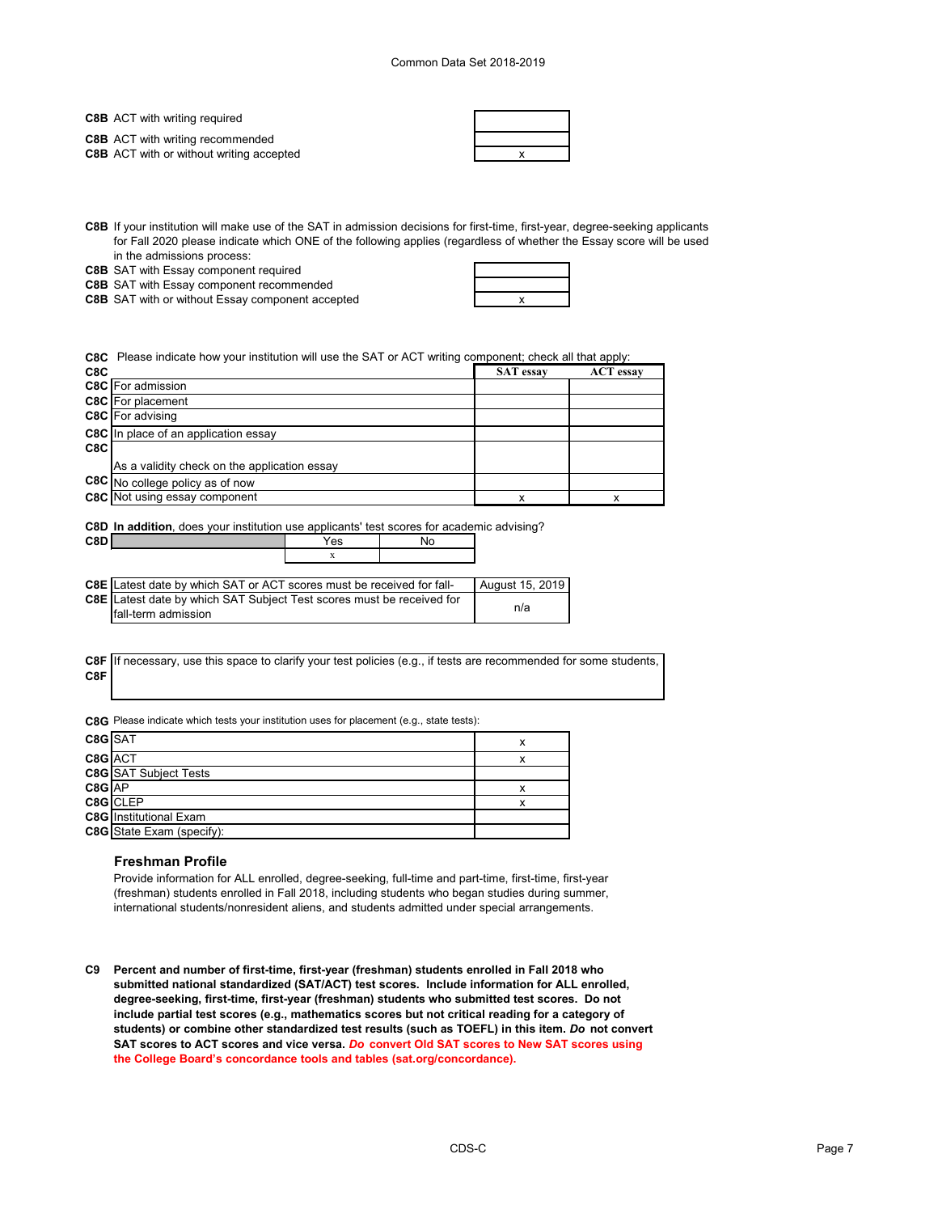**C8B** ACT with writing required

**C8B** ACT with writing recommended

**C8B** ACT with or without writing accepted **ACT X EXECUTE:** THE RESEARCH **X** 

| × |
|---|

**C8B** If your institution will make use of the SAT in admission decisions for first-time, first-year, degree-seeking applicants for Fall 2020 please indicate which ONE of the following applies (regardless of whether the Essay score will be used in the admissions process:

**C8B** SAT with Essay component required

**C8B** SAT with Essay component recommended

**C8B** SAT with or without Essay component accepted **with a state of the control of the control of the control of the control of the control of the control of the control of the control of the control of the control of the** 



**C8C** Please indicate how your institution will use the SAT or ACT writing component; check all that apply:

| C <sub>8</sub> C |                                              | <b>SAT</b> essay | <b>ACT</b> essay |
|------------------|----------------------------------------------|------------------|------------------|
|                  | <b>C8C</b> For admission                     |                  |                  |
|                  | <b>C8C</b> For placement                     |                  |                  |
|                  | C8C For advising                             |                  |                  |
|                  | <b>C8C</b> In place of an application essay  |                  |                  |
| C8C              |                                              |                  |                  |
|                  | As a validity check on the application essay |                  |                  |
|                  | C8C No college policy as of now              |                  |                  |
|                  | <b>C8C</b> Not using essay component         |                  |                  |
|                  |                                              |                  |                  |

**C8D In addition**, does your institution use applicants' test scores for academic advising?

| C8D I |                                                                                | 'es | NO |                 |
|-------|--------------------------------------------------------------------------------|-----|----|-----------------|
|       |                                                                                |     |    |                 |
|       |                                                                                |     |    |                 |
|       | <b>C8E</b> I Latest date by which SAT or ACT scores must be received for fall- |     |    | August 15, 2019 |
|       |                                                                                |     |    |                 |

| <b>COLLECTED</b> COLLECTED IN A LIGITAL COLLECTED IN THE COLLECTED IN THE COLLECTED IN THE COLLECTED IN THE COLLECTED IN THE COLLECTED IN THE COLLECTED IN THE COLLECTED IN THE COLLECTED IN THE COLLECTED IN A LIGIT COLLECTED IN | T August 10. ZUTS |
|------------------------------------------------------------------------------------------------------------------------------------------------------------------------------------------------------------------------------------|-------------------|
| <b>C8E</b> Latest date by which SAT Subject Test scores must be received for                                                                                                                                                       |                   |
| <b>Ifall-term admission</b>                                                                                                                                                                                                        | n/a               |

**C8F C8F** If necessary, use this space to clarify your test policies (e.g., if tests are recommended for some students,

**C8G** Please indicate which tests your institution uses for placement (e.g., state tests):

| $C8G$ SAT  |                                  |  |
|------------|----------------------------------|--|
| C8G ACT    |                                  |  |
|            | <b>C8G</b> SAT Subject Tests     |  |
| $CSG$ $AP$ |                                  |  |
|            | C8G CLEP                         |  |
|            | <b>C8G</b> Institutional Exam    |  |
|            | <b>C8G</b> State Exam (specify): |  |

### **Freshman Profile**

Provide information for ALL enrolled, degree-seeking, full-time and part-time, first-time, first-year (freshman) students enrolled in Fall 2018, including students who began studies during summer, international students/nonresident aliens, and students admitted under special arrangements.

**C9 Percent and number of first-time, first-year (freshman) students enrolled in Fall 2018 who submitted national standardized (SAT/ACT) test scores. Include information for ALL enrolled, degree-seeking, first-time, first-year (freshman) students who submitted test scores. Do not include partial test scores (e.g., mathematics scores but not critical reading for a category of students) or combine other standardized test results (such as TOEFL) in this item.** *Do* **not convert SAT scores to ACT scores and vice versa.** *Do* **convert Old SAT scores to New SAT scores using the College Board's concordance tools and tables (sat.org/concordance).**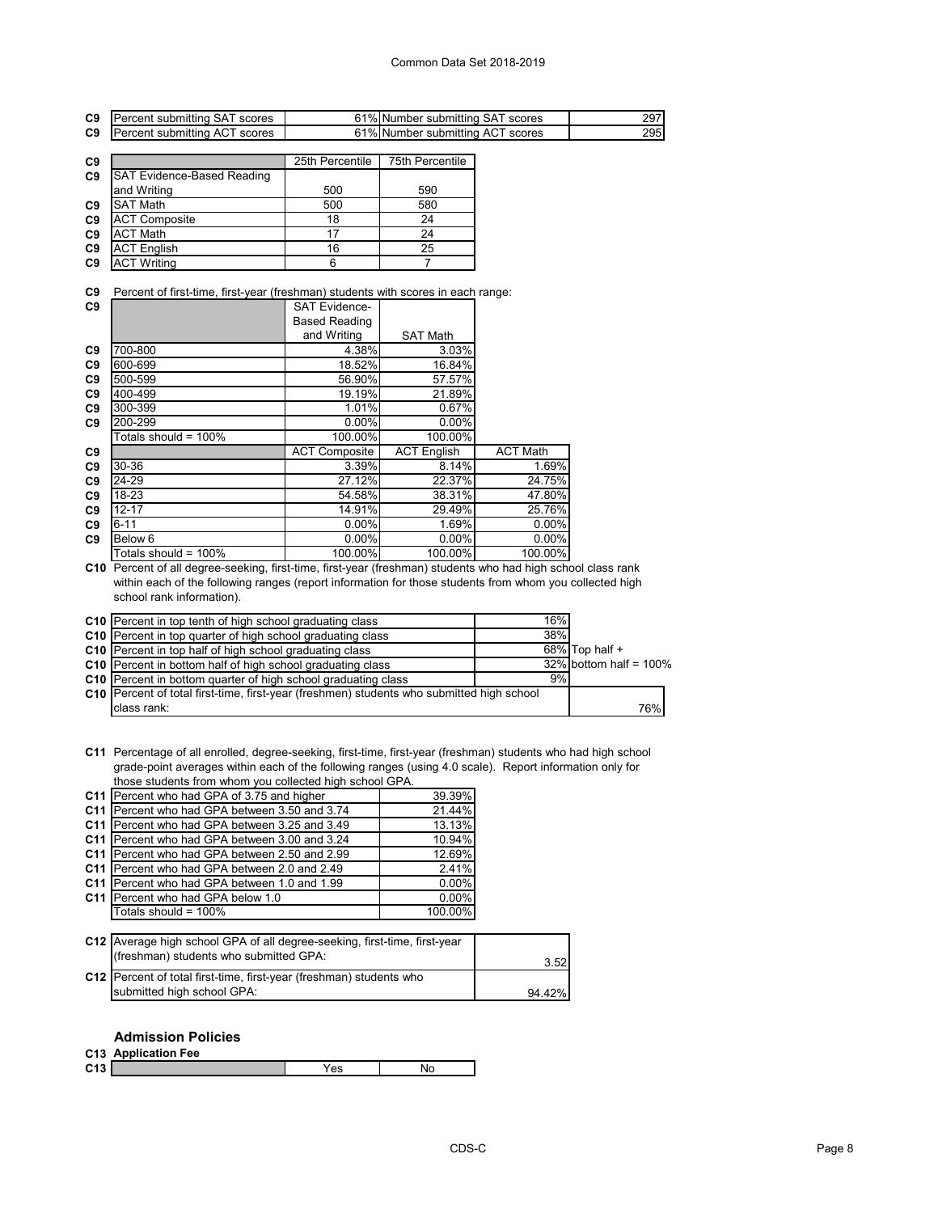| C <sub>9</sub>                   | Percent submitting SAT scores                                                                               |                      | 61% Number submitting SAT scores |                 | 297 |
|----------------------------------|-------------------------------------------------------------------------------------------------------------|----------------------|----------------------------------|-----------------|-----|
| C <sub>9</sub>                   | Percent submitting ACT scores                                                                               |                      | 61% Number submitting ACT scores |                 | 295 |
|                                  |                                                                                                             |                      | 75th Percentile                  |                 |     |
| C <sub>9</sub>                   |                                                                                                             | 25th Percentile      |                                  |                 |     |
| C <sub>9</sub>                   | <b>SAT Evidence-Based Reading</b>                                                                           |                      |                                  |                 |     |
|                                  | and Writing                                                                                                 | 500                  | 590                              |                 |     |
| C <sub>9</sub>                   | <b>SAT Math</b>                                                                                             | 500                  | 580                              |                 |     |
| C <sub>9</sub>                   | <b>ACT Composite</b>                                                                                        | 18                   | 24                               |                 |     |
| C <sub>9</sub>                   | <b>ACT Math</b>                                                                                             | 17                   | 24                               |                 |     |
| C <sub>9</sub>                   | <b>ACT English</b>                                                                                          | 16                   | 25                               |                 |     |
| C <sub>9</sub>                   | <b>ACT Writing</b>                                                                                          | 6                    | $\overline{7}$                   |                 |     |
| C <sub>9</sub><br>C <sub>9</sub> | Percent of first-time, first-year (freshman) students with scores in each range:                            | <b>SAT Evidence-</b> |                                  |                 |     |
|                                  |                                                                                                             | <b>Based Reading</b> |                                  |                 |     |
|                                  |                                                                                                             | and Writing          | <b>SAT Math</b>                  |                 |     |
| C <sub>9</sub>                   | 700-800                                                                                                     | 4.38%                | 3.03%                            |                 |     |
| C <sub>9</sub>                   | 600-699                                                                                                     | 18.52%               | 16.84%                           |                 |     |
| C <sub>9</sub>                   | 500-599                                                                                                     | 56.90%               | 57.57%                           |                 |     |
| C <sub>9</sub>                   | 400-499                                                                                                     | 19.19%               | 21.89%                           |                 |     |
| C <sub>9</sub>                   | 300-399                                                                                                     | 1.01%                | 0.67%                            |                 |     |
| C <sub>9</sub>                   | 200-299                                                                                                     | 0.00%                | 0.00%                            |                 |     |
|                                  | Totals should = 100%                                                                                        | 100.00%              | 100.00%                          |                 |     |
| C <sub>9</sub>                   |                                                                                                             | <b>ACT Composite</b> | <b>ACT English</b>               | <b>ACT Math</b> |     |
| C <sub>9</sub>                   | 30-36                                                                                                       | 3.39%                | 8.14%                            | 1.69%           |     |
| C <sub>9</sub>                   | 24-29                                                                                                       | 27.12%               | 22.37%                           | 24.75%          |     |
| C <sub>9</sub>                   | 18-23                                                                                                       | 54.58%               | 38.31%                           | 47.80%          |     |
| C9                               | $12 - 17$                                                                                                   | 14.91%               | 29.49%                           | 25.76%          |     |
| C <sub>9</sub>                   | $6 - 11$                                                                                                    | 0.00%                | 1.69%                            | 0.00%           |     |
| C <sub>9</sub>                   | Below <sub>6</sub>                                                                                          | 0.00%                | 0.00%                            | 0.00%           |     |
|                                  | Totals should = 100%                                                                                        | 100.00%              | 100.00%                          | 100.00%         |     |
|                                  | C10. Percept of all degree sooking first time first vear (freshman) students who had bigh school class rank |                      |                                  |                 |     |

**C10** Percent of all degree-seeking, first-time, first-year (freshman) students who had high school class rank within each of the following ranges (report information for those students from whom you collected high school rank information).

|                                                                                           | 16% |                           |  |
|-------------------------------------------------------------------------------------------|-----|---------------------------|--|
| C10 Percent in top tenth of high school graduating class                                  |     |                           |  |
| C10 Percent in top quarter of high school graduating class                                | 38% |                           |  |
| C10 Percent in top half of high school graduating class                                   |     | $68\%$ Top half +         |  |
| C10   Percent in bottom half of high school graduating class                              |     | $32\%$ bottom half = 100% |  |
| C10 Percent in bottom quarter of high school graduating class                             | 9%  |                           |  |
| C10 Percent of total first-time, first-year (freshmen) students who submitted high school |     |                           |  |
| class rank:                                                                               |     | 76%                       |  |

**C11** Percentage of all enrolled, degree-seeking, first-time, first-year (freshman) students who had high school grade-point averages within each of the following ranges (using 4.0 scale). Report information only for those students from whom you collected high school GPA.

| C11 Percent who had GPA of 3.75 and higher      | 39.39%  |
|-------------------------------------------------|---------|
| C11 Percent who had GPA between 3.50 and 3.74   | 21.44%  |
| C11 Percent who had GPA between 3.25 and 3.49   | 13.13%  |
| C11   Percent who had GPA between 3.00 and 3.24 | 10.94%  |
| C11 Percent who had GPA between 2.50 and 2.99   | 12.69%  |
| C11 Percent who had GPA between 2.0 and 2.49    | 2.41%   |
| C11   Percent who had GPA between 1.0 and 1.99  | 0.00%   |
| C11 Percent who had GPA below 1.0               | 0.00%   |
| Totals should = 100%                            | 100.00% |
|                                                 |         |

| C12 Average high school GPA of all degree-seeking, first-time, first-year<br>(freshman) students who submitted GPA: | 3.52   |
|---------------------------------------------------------------------------------------------------------------------|--------|
| C12   Percent of total first-time, first-year (freshman) students who                                               |        |
| submitted high school GPA:                                                                                          | 94.42% |

## **Admission Policies**

|                 | C13 Application Fee |     |    |
|-----------------|---------------------|-----|----|
| C <sub>13</sub> |                     | ′es | NG |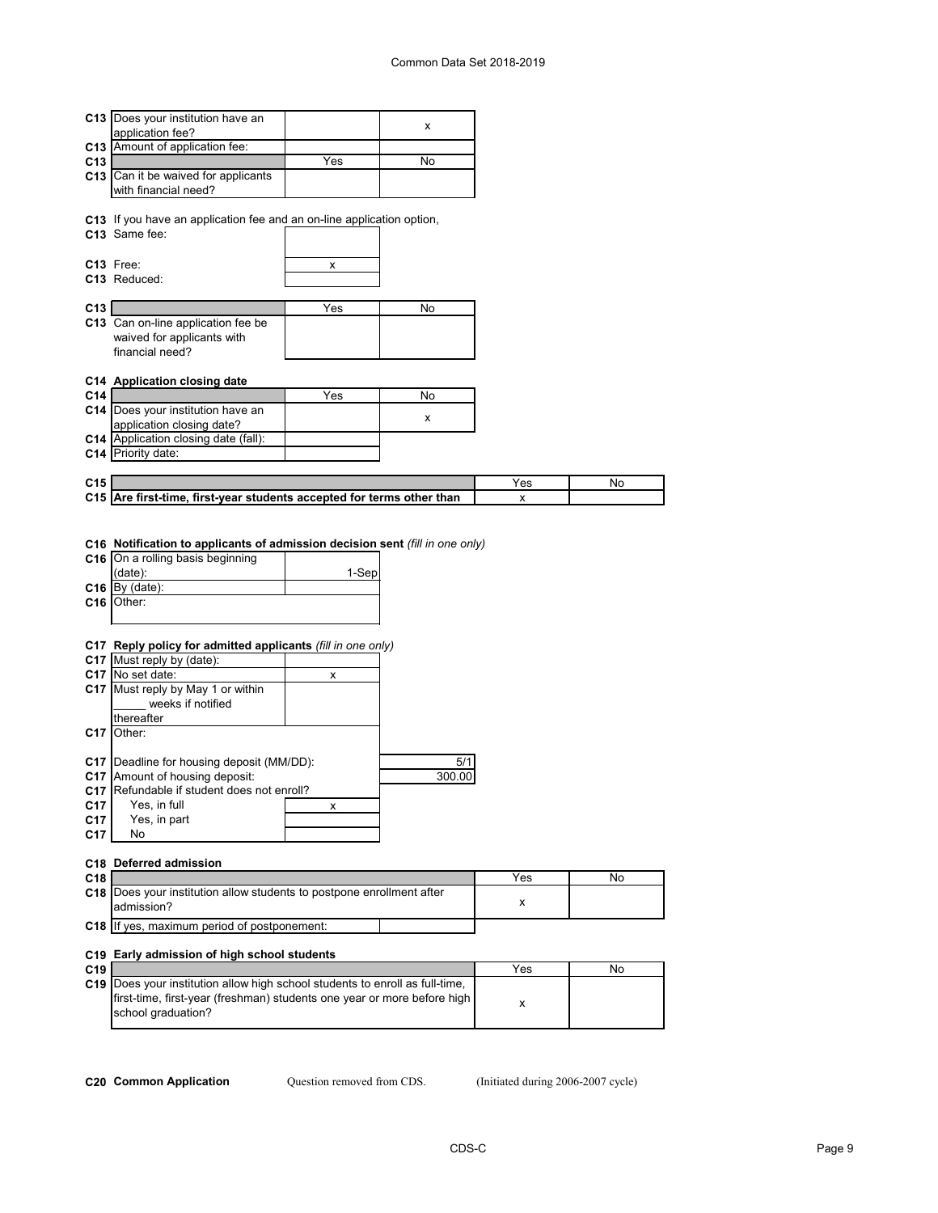|                 | C13 Does your institution have an                                               |       | X      |          |    |
|-----------------|---------------------------------------------------------------------------------|-------|--------|----------|----|
|                 | application fee?                                                                |       |        |          |    |
| C13             | Amount of application fee:                                                      |       |        |          |    |
| C <sub>13</sub> | C13 Can it be waived for applicants                                             | Yes   | No     |          |    |
|                 | with financial need?                                                            |       |        |          |    |
|                 |                                                                                 |       |        |          |    |
|                 | C13 If you have an application fee and an on-line application option,           |       |        |          |    |
|                 | C13 Same fee:                                                                   |       |        |          |    |
|                 |                                                                                 |       |        |          |    |
|                 | C13 Free:<br>C13 Reduced:                                                       | х     |        |          |    |
|                 |                                                                                 |       |        |          |    |
| C13             |                                                                                 | Yes   | No     |          |    |
|                 | C13 Can on-line application fee be                                              |       |        |          |    |
|                 | waived for applicants with                                                      |       |        |          |    |
|                 | financial need?                                                                 |       |        |          |    |
|                 |                                                                                 |       |        |          |    |
| C14             | C14 Application closing date                                                    | Yes   | No     |          |    |
|                 | C14 Does your institution have an                                               |       |        |          |    |
|                 | application closing date?                                                       |       | x      |          |    |
|                 | C14 Application closing date (fall):                                            |       |        |          |    |
|                 | C14 Priority date:                                                              |       |        |          |    |
|                 |                                                                                 |       |        |          |    |
| C <sub>15</sub> | C15 Are first-time, first-year students accepted for terms other than           |       |        | Yes<br>х | No |
| C16             | C16 On a rolling basis beginning<br>(date):<br>$C16$ By (date):<br>Other:       | 1-Sep |        |          |    |
|                 |                                                                                 |       |        |          |    |
|                 | C17 Reply policy for admitted applicants (fill in one only)                     |       |        |          |    |
|                 | C17 Must reply by (date):<br>C17 No set date:                                   | X     |        |          |    |
| C17             | Must reply by May 1 or within                                                   |       |        |          |    |
|                 | weeks if notified                                                               |       |        |          |    |
|                 | thereafter                                                                      |       |        |          |    |
| C17             | Other:                                                                          |       |        |          |    |
|                 |                                                                                 |       |        |          |    |
| C17             | Deadline for housing deposit (MM/DD):                                           |       | 5/1    |          |    |
| C17<br>C17      | Amount of housing deposit:<br>Refundable if student does not enroll?            |       | 300.00 |          |    |
| C17             | Yes, in full                                                                    | x     |        |          |    |
| C17             | Yes, in part                                                                    |       |        |          |    |
| C17             | No                                                                              |       |        |          |    |
|                 |                                                                                 |       |        |          |    |
|                 | C18 Deferred admission                                                          |       |        |          |    |
| C18             |                                                                                 |       |        | Yes      | No |
| C18             | Does your institution allow students to postpone enrollment after<br>admission? |       |        | X        |    |
|                 | C18 If yes, maximum period of postponement:                                     |       |        |          |    |
|                 | C19 Early admission of high school students                                     |       |        |          |    |
|                 |                                                                                 |       |        |          |    |

| C <sub>19</sub> |                                                                                | Yes | No |
|-----------------|--------------------------------------------------------------------------------|-----|----|
|                 | C19   Does your institution allow high school students to enroll as full-time, |     |    |
|                 | first-time, first-year (freshman) students one year or more before high        |     |    |
|                 | school graduation?                                                             |     |    |
|                 |                                                                                |     |    |

Question removed from CDS.

**C20 Common Application** Question removed from CDS. (Initiated during 2006-2007 cycle)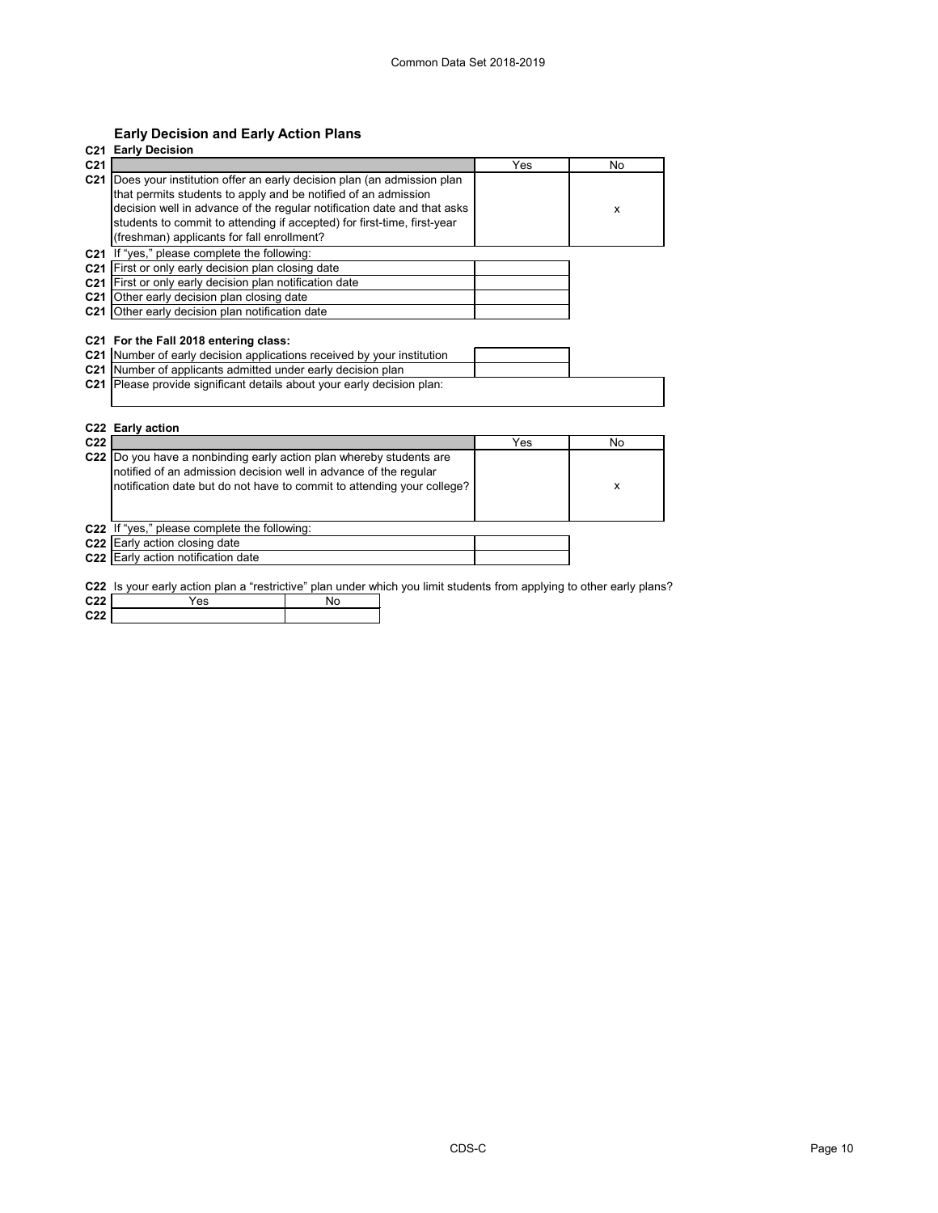# **Early Decision and Early Action Plans**

| C <sub>21</sub>                                                           | Yes | No |
|---------------------------------------------------------------------------|-----|----|
| C21 Does your institution offer an early decision plan (an admission plan |     |    |
| that permits students to apply and be notified of an admission            |     |    |
| decision well in advance of the regular notification date and that asks   |     | X  |
| students to commit to attending if accepted) for first-time, first-year   |     |    |
| (freshman) applicants for fall enrollment?                                |     |    |
| C21 If "yes," please complete the following:                              |     |    |
| C21 First or only early decision plan closing date                        |     |    |
| C21 First or only early decision plan notification date                   |     |    |
| C21 Other early decision plan closing date                                |     |    |
| C21 Other early decision plan notification date                           |     |    |
|                                                                           |     |    |
|                                                                           |     |    |
| C22 Early action                                                          |     |    |
| C <sub>22</sub>                                                           | Yes | No |
| C22<br>Do you have a nonbinding early action plan whereby students are    |     |    |
| notified of an admission decision well in advance of the regular          |     | X  |
| notification date but do not have to commit to attending your college?    |     |    |
|                                                                           |     |    |
| C22 If "yes," please complete the following:                              |     |    |
| C22 Early action closing date<br>C22 Early action notification date       |     |    |

**C22** Is your early action plan a "restrictive" plan under which you limit students from applying to other early plans?

| C <sub>22</sub> | ビン |  |
|-----------------|----|--|
| 0.22            |    |  |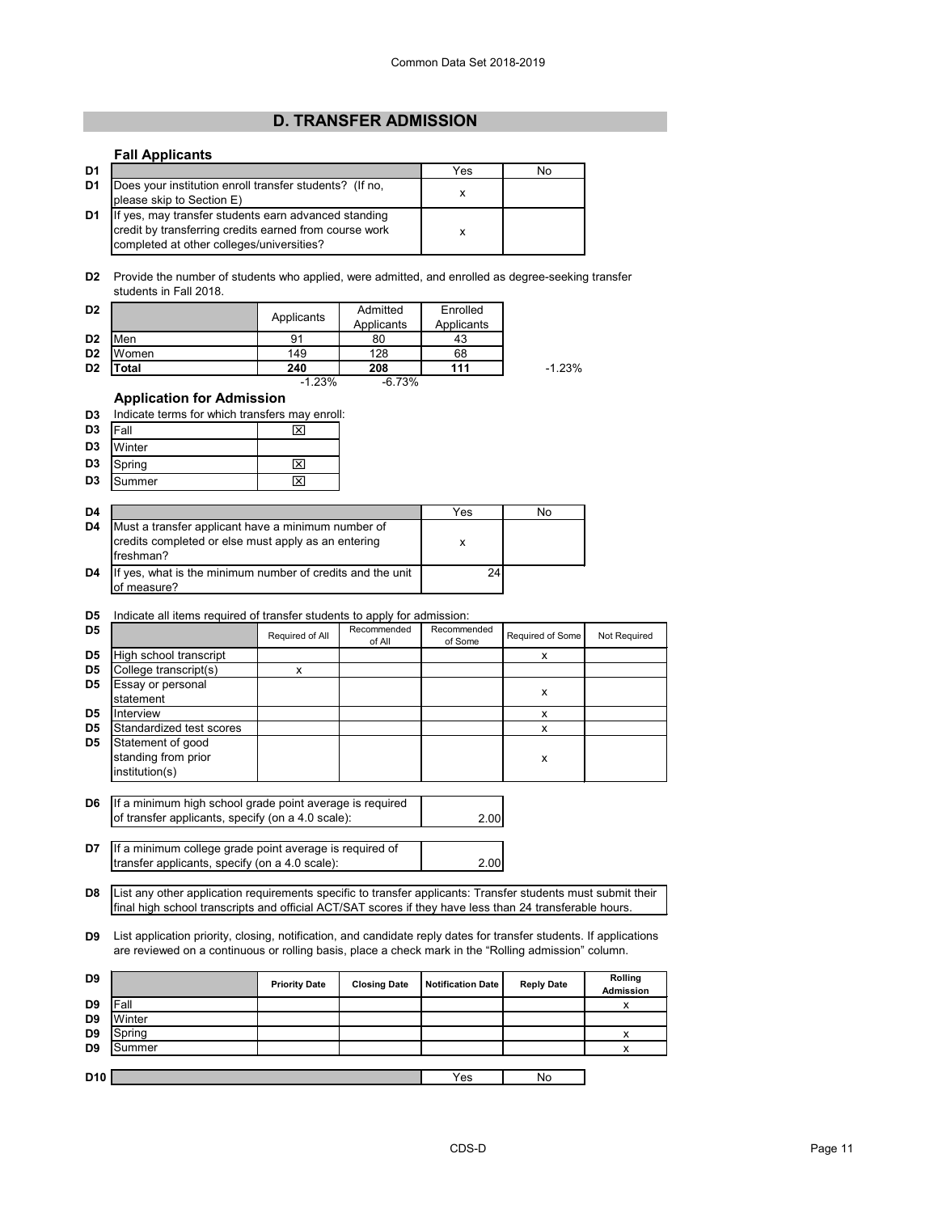# **D. TRANSFER ADMISSION**

# **Fall Applicants**

| D1             |                                                                                                                                                             | Yes | No |
|----------------|-------------------------------------------------------------------------------------------------------------------------------------------------------------|-----|----|
| D1             | Does your institution enroll transfer students? (If no,<br>please skip to Section E)                                                                        |     |    |
| D <sub>1</sub> | If yes, may transfer students earn advanced standing<br>credit by transferring credits earned from course work<br>completed at other colleges/universities? |     |    |

**D2** Provide the number of students who applied, were admitted, and enrolled as degree-seeking transfer students in Fall 2018.

| D <sub>2</sub> |       | Applicants | Admitted<br>Applicants | Enrolled<br>Applicants |          |
|----------------|-------|------------|------------------------|------------------------|----------|
| D <sub>2</sub> | Men   | 91         | 80                     | 43                     |          |
| D <sub>2</sub> | Women | 149        | 128                    | 68                     |          |
| D <sub>2</sub> | ⊺otal | 240        | 208                    | 111                    | $-1.23%$ |
|                |       | $-1.23%$   | $-6.73%$               |                        |          |

### **Application for Admission**

**D3** Indicate terms for which transfers may enroll:

| Fall<br>Winter<br>Spring<br>Summer |
|------------------------------------|

| D4 |                                                                                                                        | Yes | No |
|----|------------------------------------------------------------------------------------------------------------------------|-----|----|
| D4 | Must a transfer applicant have a minimum number of<br>credits completed or else must apply as an entering<br>freshman? | х   |    |
| D4 | If yes, what is the minimum number of credits and the unit<br>of measure?                                              | 24  |    |

# **D5** Indicate all items required of transfer students to apply for admission:

| D <sub>5</sub> |                                                            | Required of All | Recommended<br>of All | Recommended<br>of Some | Required of Some | Not Required |
|----------------|------------------------------------------------------------|-----------------|-----------------------|------------------------|------------------|--------------|
| D <sub>5</sub> | High school transcript                                     |                 |                       |                        | х                |              |
| D <sub>5</sub> | College transcript(s)                                      | x               |                       |                        |                  |              |
| D <sub>5</sub> | Essay or personal<br>statement                             |                 |                       |                        | х                |              |
| D <sub>5</sub> | Interview                                                  |                 |                       |                        | x                |              |
| D <sub>5</sub> | Standardized test scores                                   |                 |                       |                        |                  |              |
| D <sub>5</sub> | Statement of good<br>standing from prior<br>institution(s) |                 |                       |                        | x                |              |

**D6** 2.00 If a minimum high school grade point average is required of transfer applicants, specify (on a 4.0 scale):

**D7** If a minimum college grade point average is required of 2.00 transfer applicants, specify (on a 4.0 scale):

**D8** List any other application requirements specific to transfer applicants: Transfer students must submit their final high school transcripts and official ACT/SAT scores if they have less than 24 transferable hours.

**D9** List application priority, closing, notification, and candidate reply dates for transfer students. If applications are reviewed on a continuous or rolling basis, place a check mark in the "Rolling admission" column.

| D <sub>9</sub> |        | <b>Priority Date</b> | <b>Closing Date</b> | <b>Notification Date</b> | <b>Reply Date</b> | Rolling<br>Admission |
|----------------|--------|----------------------|---------------------|--------------------------|-------------------|----------------------|
| D <sub>9</sub> | Fall   |                      |                     |                          |                   | v                    |
| D <sub>9</sub> | Winter |                      |                     |                          |                   |                      |
| D <sub>9</sub> | Spring |                      |                     |                          |                   | v                    |
| D <sub>9</sub> | Summer |                      |                     |                          |                   | v                    |
|                |        |                      |                     |                          |                   |                      |
| <b>D10</b>     |        |                      |                     | Yes                      | No                |                      |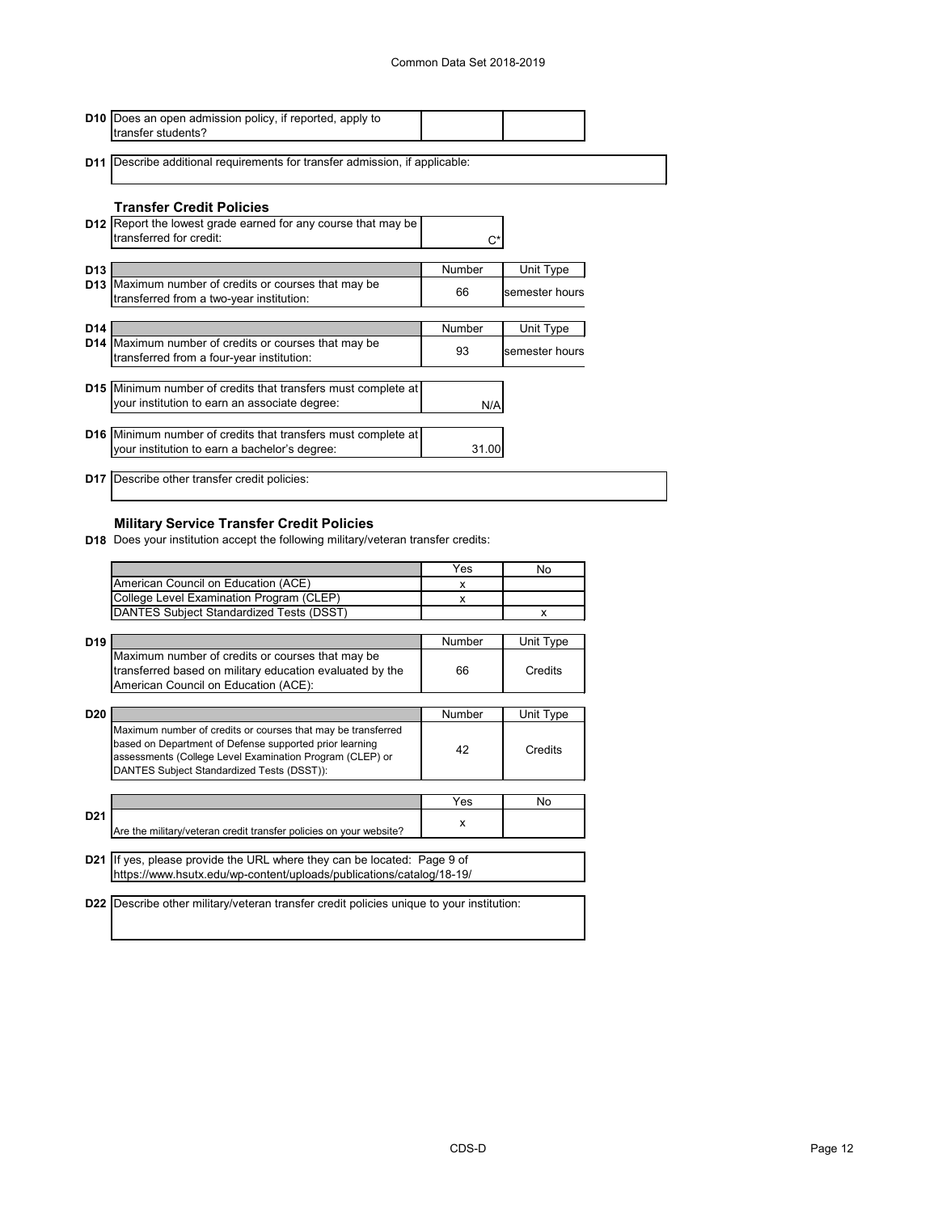|                 | <b>D10</b> Does an open admission policy, if reported, apply to<br>transfer students?                          |               |                |  |
|-----------------|----------------------------------------------------------------------------------------------------------------|---------------|----------------|--|
|                 | <b>D11</b> Describe additional requirements for transfer admission, if applicable:                             |               |                |  |
|                 | <b>Transfer Credit Policies</b>                                                                                |               |                |  |
|                 | <b>D12</b> Report the lowest grade earned for any course that may be<br>transferred for credit:                |               |                |  |
| D <sub>13</sub> |                                                                                                                | Number        | Unit Type      |  |
|                 | <b>D13</b> Maximum number of credits or courses that may be<br>transferred from a two-year institution:        | 66            | semester hours |  |
|                 |                                                                                                                |               |                |  |
| D <sub>14</sub> | D14 Maximum number of credits or courses that may be                                                           | <b>Number</b> | Unit Type      |  |
|                 | transferred from a four-year institution:                                                                      | 93            | semester hours |  |
|                 |                                                                                                                |               |                |  |
|                 | D15 Minimum number of credits that transfers must complete at<br>your institution to earn an associate degree: | N/A           |                |  |
|                 | <b>D16</b> Minimum number of credits that transfers must complete at                                           |               |                |  |
|                 | your institution to earn a bachelor's degree:                                                                  | 31.00         |                |  |
|                 | <b>D17</b> Describe other transfer credit policies:                                                            |               |                |  |

# **Military Service Transfer Credit Policies**

**D18** Does your institution accept the following military/veteran transfer credits:

|                 |                                                                                                                                                                                                                                   | Yes           | No        |
|-----------------|-----------------------------------------------------------------------------------------------------------------------------------------------------------------------------------------------------------------------------------|---------------|-----------|
|                 | American Council on Education (ACE)                                                                                                                                                                                               | X             |           |
|                 | College Level Examination Program (CLEP)                                                                                                                                                                                          | X             |           |
|                 | DANTES Subject Standardized Tests (DSST)                                                                                                                                                                                          |               | x         |
|                 |                                                                                                                                                                                                                                   |               |           |
| D <sub>19</sub> |                                                                                                                                                                                                                                   | <b>Number</b> | Unit Type |
|                 | Maximum number of credits or courses that may be                                                                                                                                                                                  |               |           |
|                 | transferred based on military education evaluated by the                                                                                                                                                                          | 66            | Credits   |
|                 | American Council on Education (ACE):                                                                                                                                                                                              |               |           |
|                 |                                                                                                                                                                                                                                   |               |           |
| <b>D20</b>      |                                                                                                                                                                                                                                   | Number        | Unit Type |
|                 | Maximum number of credits or courses that may be transferred<br>based on Department of Defense supported prior learning<br>assessments (College Level Examination Program (CLEP) or<br>DANTES Subject Standardized Tests (DSST)): | 42            | Credits   |
|                 |                                                                                                                                                                                                                                   |               |           |
|                 |                                                                                                                                                                                                                                   | Yes           | No        |
| D <sub>21</sub> | Are the military/veteran credit transfer policies on your website?                                                                                                                                                                | X             |           |
|                 |                                                                                                                                                                                                                                   |               |           |
|                 | <b>D21</b> If yes, please provide the URL where they can be located: Page 9 of                                                                                                                                                    |               |           |
|                 | https://www.hsutx.edu/wp-content/uploads/publications/catalog/18-19/                                                                                                                                                              |               |           |
|                 |                                                                                                                                                                                                                                   |               |           |
| D <sub>22</sub> | Describe other military/veteran transfer credit policies unique to your institution:                                                                                                                                              |               |           |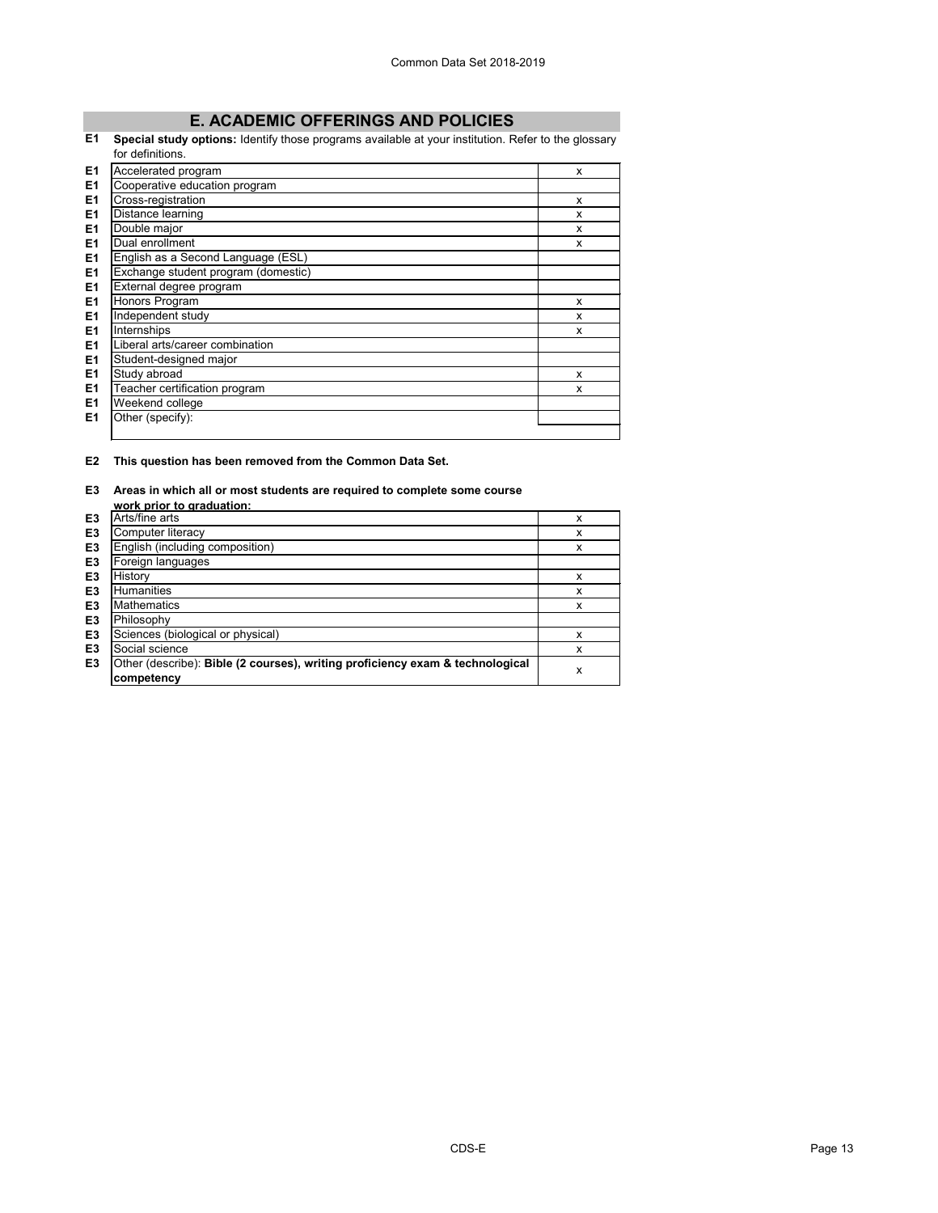# **E. ACADEMIC OFFERINGS AND POLICIES**

### **E1 Special study options:** Identify those programs available at your institution. Refer to the glossary for definitions.

|                | שוטוושטווא.                         |   |
|----------------|-------------------------------------|---|
| E1             | Accelerated program                 | X |
| E <sub>1</sub> | Cooperative education program       |   |
| E1             | Cross-registration                  | X |
| E1             | Distance learning                   | X |
| E1             | Double major                        | X |
| E1             | Dual enrollment                     | X |
| E1             | English as a Second Language (ESL)  |   |
| E1             | Exchange student program (domestic) |   |
| E1             | External degree program             |   |
| E1             | Honors Program                      | X |
| E1             | Independent study                   | X |
| E1             | Internships                         | X |
| E1             | Liberal arts/career combination     |   |
| E <sub>1</sub> | Student-designed major              |   |
| E <sub>1</sub> | Study abroad                        | X |
| E <sub>1</sub> | Teacher certification program       | X |
| E <sub>1</sub> | Weekend college                     |   |
| E1             | Other (specify):                    |   |
|                |                                     |   |

**E2 This question has been removed from the Common Data Set.**

#### **E3 Areas in which all or most students are required to complete some course work prior to graduation:**

|                | work prior to graduation:                                                     |   |
|----------------|-------------------------------------------------------------------------------|---|
| E <sub>3</sub> | Arts/fine arts                                                                | x |
| E <sub>3</sub> | Computer literacy                                                             | x |
| E <sub>3</sub> | English (including composition)                                               | x |
| E <sub>3</sub> | Foreign languages                                                             |   |
| E <sub>3</sub> | History                                                                       | x |
| E <sub>3</sub> | <b>Humanities</b>                                                             | x |
| E <sub>3</sub> | <b>Mathematics</b>                                                            | x |
| E <sub>3</sub> | Philosophy                                                                    |   |
| E <sub>3</sub> | Sciences (biological or physical)                                             | x |
| E <sub>3</sub> | Social science                                                                | х |
| E <sub>3</sub> | Other (describe): Bible (2 courses), writing proficiency exam & technological | x |
|                | competency                                                                    |   |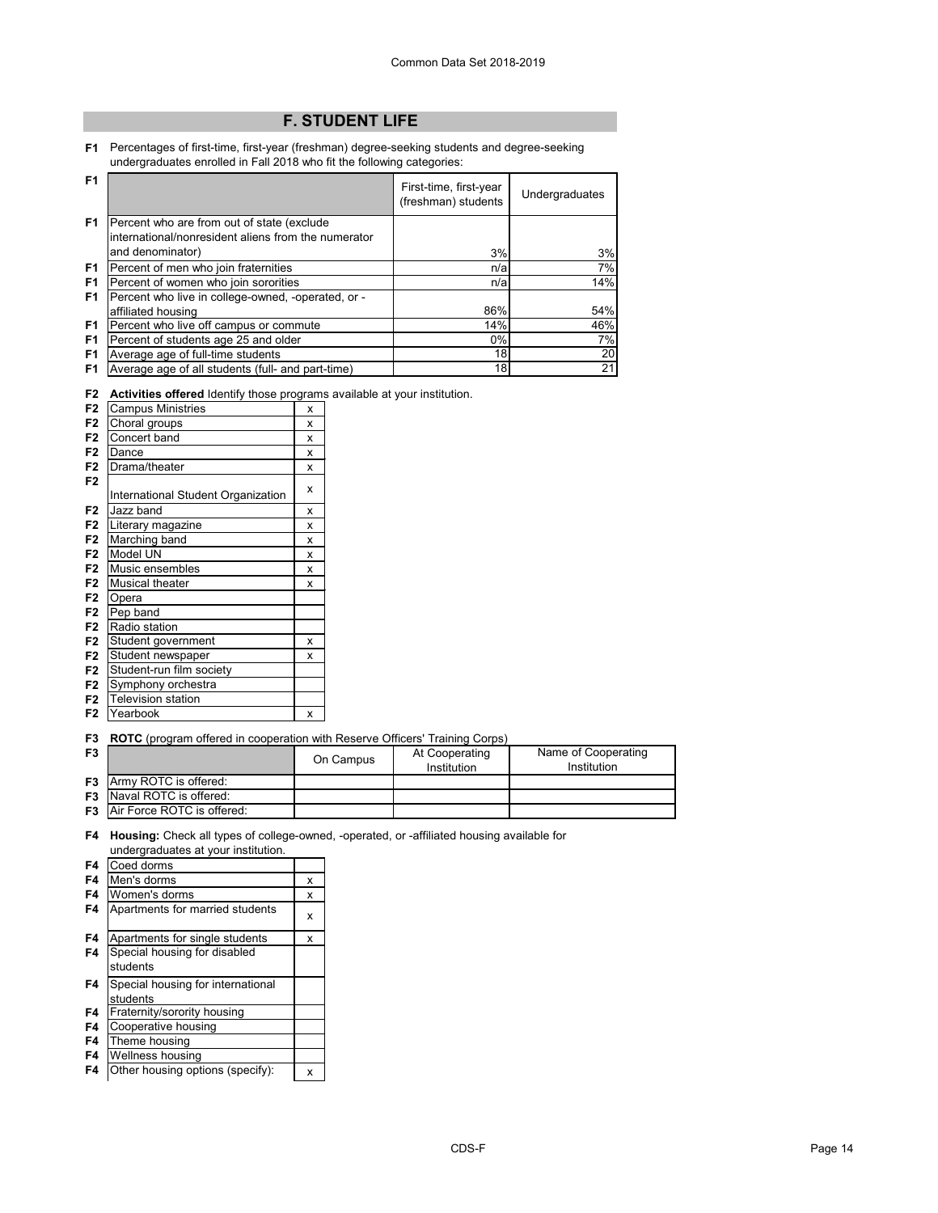# **F. STUDENT LIFE**

**F1** Percentages of first-time, first-year (freshman) degree-seeking students and degree-seeking undergraduates enrolled in Fall 2018 who fit the following categories:

| F <sub>1</sub> |                                                                                                                       | First-time, first-year<br>(freshman) students | Undergraduates  |
|----------------|-----------------------------------------------------------------------------------------------------------------------|-----------------------------------------------|-----------------|
| F <sub>1</sub> | Percent who are from out of state (exclude<br>international/nonresident aliens from the numerator<br>and denominator) | 3%                                            | 3%              |
| F1             | Percent of men who join fraternities                                                                                  | n/a                                           | 7%              |
| F <sub>1</sub> | Percent of women who join sororities                                                                                  | n/a                                           | 14%             |
| F <sub>1</sub> | Percent who live in college-owned, -operated, or -                                                                    |                                               |                 |
|                | affiliated housing                                                                                                    | 86%                                           | 54%             |
| F <sub>1</sub> | Percent who live off campus or commute                                                                                | 14%                                           | 46%             |
| F <sub>1</sub> | Percent of students age 25 and older                                                                                  | 0%                                            | 7%              |
| F <sub>1</sub> | Average age of full-time students                                                                                     | 18                                            | 20 <sub>l</sub> |
| F <sub>1</sub> | Average age of all students (full- and part-time)                                                                     | 18                                            | 21              |

|  |  |  |  |  |  | F2 Activities offered Identify those programs available at your institution. |
|--|--|--|--|--|--|------------------------------------------------------------------------------|
|--|--|--|--|--|--|------------------------------------------------------------------------------|

| <b>Campus Ministries</b>           | X |
|------------------------------------|---|
| Choral groups                      | X |
| Concert band                       | x |
| Dance                              | X |
| Drama/theater                      | x |
|                                    | x |
| International Student Organization |   |
| Jazz band                          | x |
| Literary magazine                  | X |
| Marching band                      | X |
| Model UN                           | x |
| Music ensembles                    | X |
| <b>Musical theater</b>             | x |
| Opera                              |   |
| Pep band                           |   |
| Radio station                      |   |
| Student government                 | x |
| Student newspaper                  | x |
| Student-run film society           |   |
| Symphony orchestra                 |   |
| <b>Television station</b>          |   |
| Yearbook                           | X |
|                                    |   |

**F3 ROTC** (program offered in cooperation with Reserve Officers' Training Corps)

| F3 |                                      | On Campus | At Cooperating<br>Institution | Name of Cooperating<br>Institution |
|----|--------------------------------------|-----------|-------------------------------|------------------------------------|
|    | <b>F3</b> Army ROTC is offered:      |           |                               |                                    |
|    | <b>F3</b> Naval ROTC is offered:     |           |                               |                                    |
|    | <b>F3</b> Air Force ROTC is offered: |           |                               |                                    |

**F4 Housing:** Check all types of college-owned, -operated, or -affiliated housing available for undergraduates at your institution.

| F4 | Coed dorms                        |   |
|----|-----------------------------------|---|
| F4 | Men's dorms                       | х |
| F4 | Women's dorms                     | x |
| F4 | Apartments for married students   | x |
| F4 | Apartments for single students    | x |
| F4 | Special housing for disabled      |   |
|    | students                          |   |
| F4 | Special housing for international |   |
|    | students                          |   |
| F4 | Fraternity/sorority housing       |   |
| F4 | Cooperative housing               |   |
| F4 | Theme housing                     |   |
| F4 | Wellness housing                  |   |
| F4 | Other housing options (specify):  | x |
|    |                                   |   |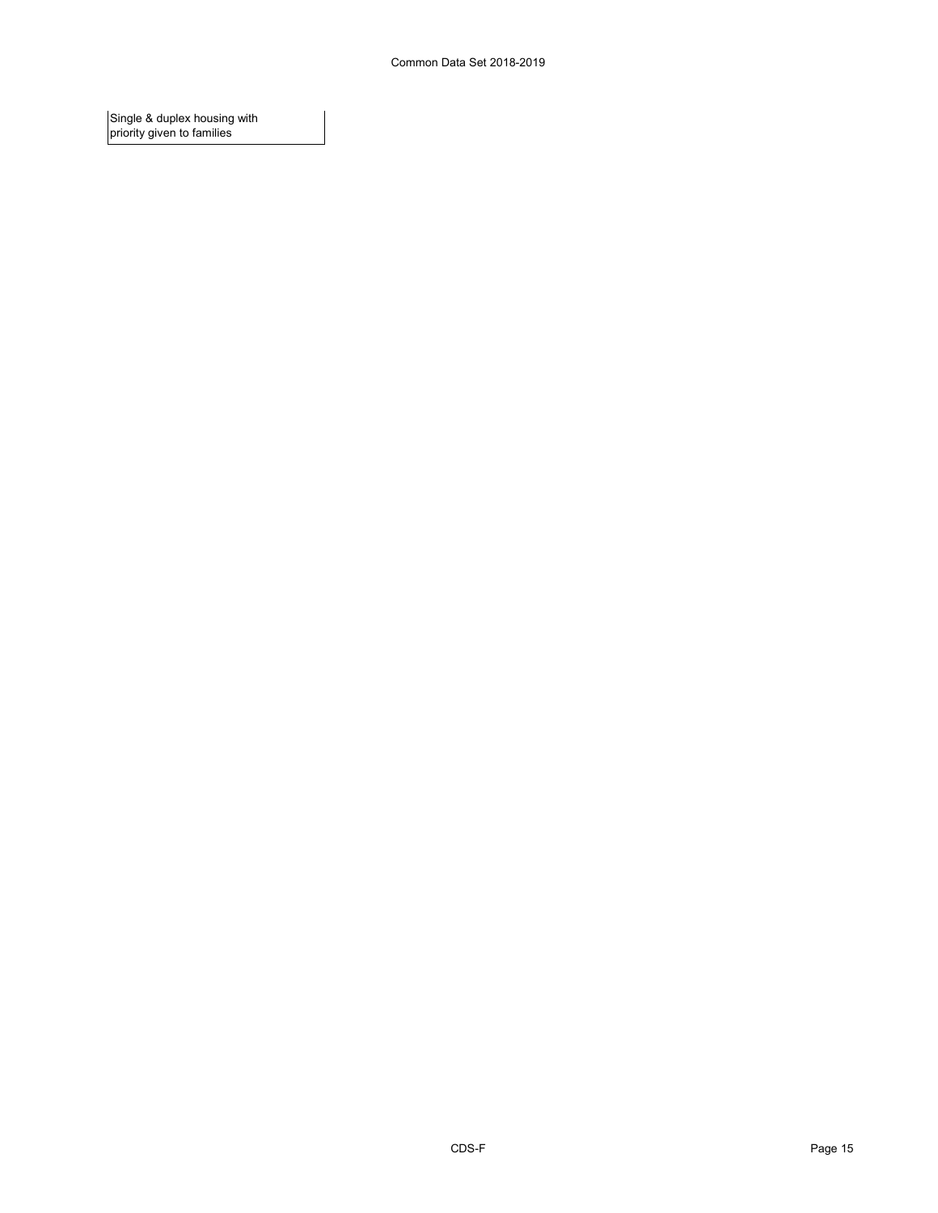Single & duplex housing with priority given to families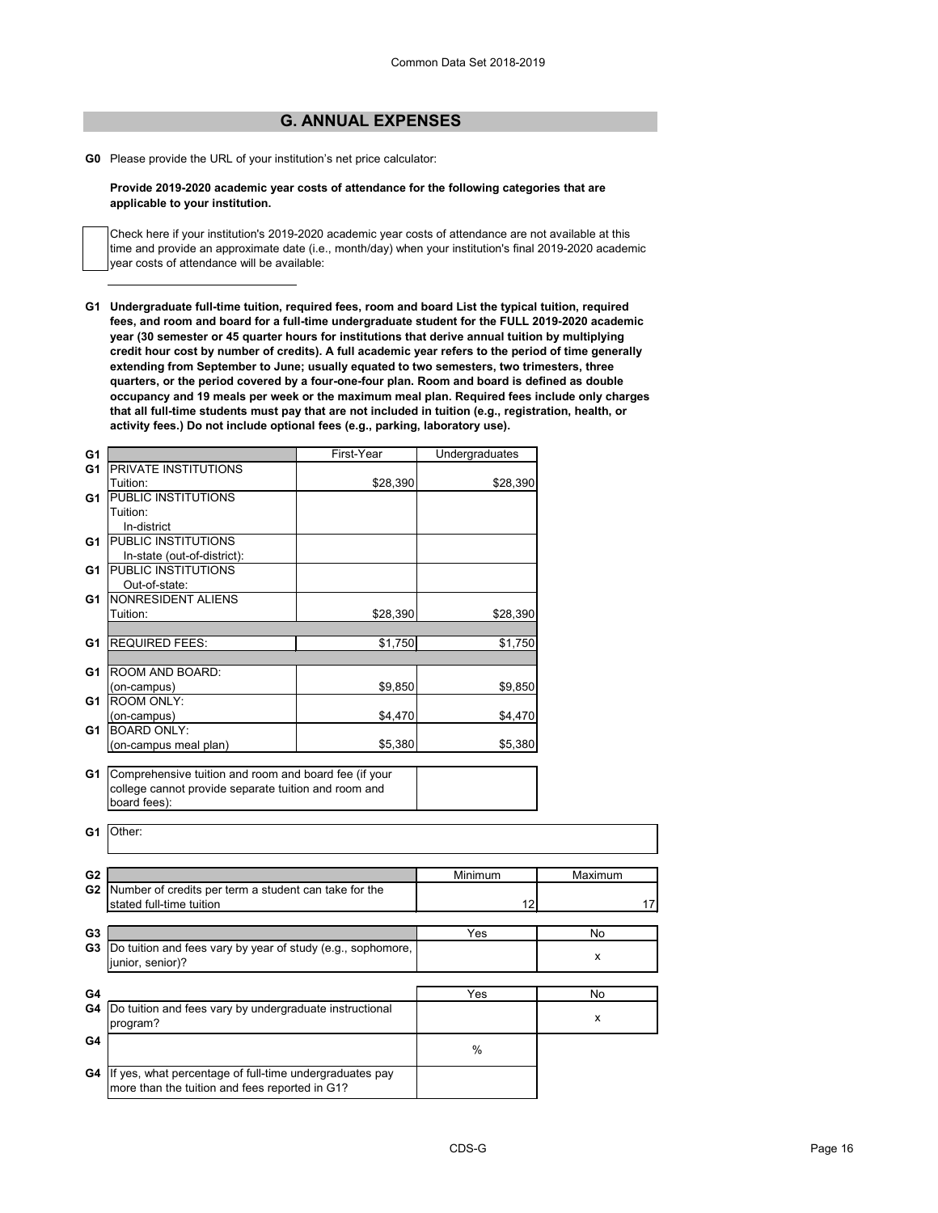# **G. ANNUAL EXPENSES**

**G0** Please provide the URL of your institution's net price calculator:

### **Provide 2019-2020 academic year costs of attendance for the following categories that are applicable to your institution.**

Check here if your institution's 2019-2020 academic year costs of attendance are not available at this time and provide an approximate date (i.e., month/day) when your institution's final 2019-2020 academic year costs of attendance will be available:

**G1 Undergraduate full-time tuition, required fees, room and board List the typical tuition, required fees, and room and board for a full-time undergraduate student for the FULL 2019-2020 academic year (30 semester or 45 quarter hours for institutions that derive annual tuition by multiplying credit hour cost by number of credits). A full academic year refers to the period of time generally extending from September to June; usually equated to two semesters, two trimesters, three quarters, or the period covered by a four-one-four plan. Room and board is defined as double occupancy and 19 meals per week or the maximum meal plan. Required fees include only charges that all full-time students must pay that are not included in tuition (e.g., registration, health, or activity fees.) Do not include optional fees (e.g., parking, laboratory use).**

| G <sub>1</sub> |                                                             | First-Year | Undergraduates |         |
|----------------|-------------------------------------------------------------|------------|----------------|---------|
| G <sub>1</sub> | <b>PRIVATE INSTITUTIONS</b>                                 |            |                |         |
|                | Tuition:                                                    | \$28,390   | \$28,390       |         |
| G1             | <b>PUBLIC INSTITUTIONS</b>                                  |            |                |         |
|                | Tuition:                                                    |            |                |         |
|                | In-district                                                 |            |                |         |
| G1             | <b>PUBLIC INSTITUTIONS</b>                                  |            |                |         |
|                | In-state (out-of-district):                                 |            |                |         |
| G <sub>1</sub> | <b>PUBLIC INSTITUTIONS</b>                                  |            |                |         |
|                | Out-of-state:                                               |            |                |         |
| G <sub>1</sub> | NONRESIDENT ALIENS                                          |            |                |         |
|                | Tuition:                                                    | \$28,390   | \$28,390       |         |
|                |                                                             |            |                |         |
| G <sub>1</sub> | <b>REQUIRED FEES:</b>                                       | \$1,750    | \$1,750        |         |
|                |                                                             |            |                |         |
| G <sub>1</sub> | ROOM AND BOARD:                                             | \$9,850    |                |         |
| G <sub>1</sub> | (on-campus)<br><b>ROOM ONLY:</b>                            |            | \$9,850        |         |
|                | (on-campus)                                                 | \$4,470    | \$4,470        |         |
| G <sub>1</sub> | <b>BOARD ONLY:</b>                                          |            |                |         |
|                | (on-campus meal plan)                                       | \$5,380    | \$5,380        |         |
|                |                                                             |            |                |         |
| G1             | Comprehensive tuition and room and board fee (if your       |            |                |         |
|                | college cannot provide separate tuition and room and        |            |                |         |
|                | board fees):                                                |            |                |         |
|                |                                                             |            |                |         |
| G <sub>1</sub> | Other:                                                      |            |                |         |
|                |                                                             |            |                |         |
|                |                                                             |            |                |         |
| G <sub>2</sub> |                                                             |            | Minimum        | Maximum |
| G <sub>2</sub> | Number of credits per term a student can take for the       |            |                |         |
|                | stated full-time tuition                                    |            | 12             | 17      |
|                |                                                             |            |                |         |
| G <sub>3</sub> |                                                             |            | Yes            | No      |
| G <sub>3</sub> | Do tuition and fees vary by year of study (e.g., sophomore, |            |                | x.      |
|                | junior, senior)?                                            |            |                |         |
|                |                                                             |            |                |         |
| G4             |                                                             |            | Yes            | No      |
| G4             | Do tuition and fees vary by undergraduate instructional     |            |                | X       |
|                | program?                                                    |            |                |         |
| G4             |                                                             |            | $\%$           |         |
|                |                                                             |            |                |         |
| G4             | If yes, what percentage of full-time undergraduates pay     |            |                |         |
|                | more than the tuition and fees reported in G1?              |            |                |         |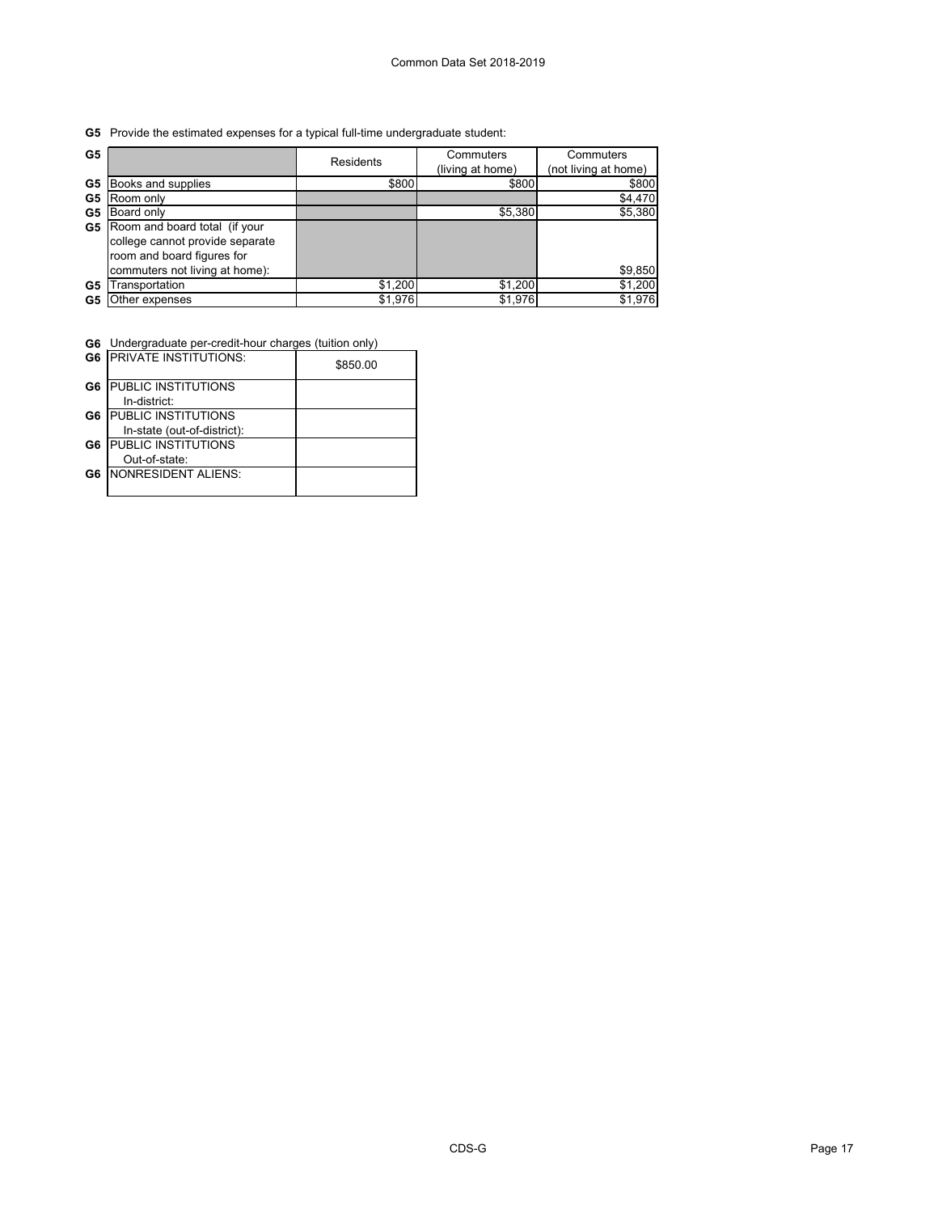**G5** Provide the estimated expenses for a typical full-time undergraduate student:

| G <sub>5</sub> |                                 | <b>Residents</b> | Commuters<br>(living at home) | Commuters<br>(not living at home) |
|----------------|---------------------------------|------------------|-------------------------------|-----------------------------------|
| G5             | Books and supplies              | \$800            | \$800                         | \$800                             |
| G5             | Room only                       |                  |                               | \$4,470                           |
| G5             | Board only                      |                  | \$5,380                       | \$5,380                           |
| G5             | Room and board total (if your   |                  |                               |                                   |
|                | college cannot provide separate |                  |                               |                                   |
|                | room and board figures for      |                  |                               |                                   |
|                | commuters not living at home):  |                  |                               | \$9,850                           |
| G5             | Transportation                  | \$1,200          | \$1,200                       | \$1,200                           |
| G5             | Other expenses                  | \$1,976          | \$1,976                       | \$1,976                           |

**G6** Undergraduate per-credit-hour charges (tuition only)

|    | <b>G6   PRIVATE INSTITUTIONS:</b> | \$850.00 |
|----|-----------------------------------|----------|
| G6 | <b>PUBLIC INSTITUTIONS</b>        |          |
|    | In-district:                      |          |
| G6 | <b>PUBLIC INSTITUTIONS</b>        |          |
|    | In-state (out-of-district):       |          |
| G6 | <b>PUBLIC INSTITUTIONS</b>        |          |
|    | Out-of-state:                     |          |
| G6 | <b>NONRESIDENT ALIENS:</b>        |          |
|    |                                   |          |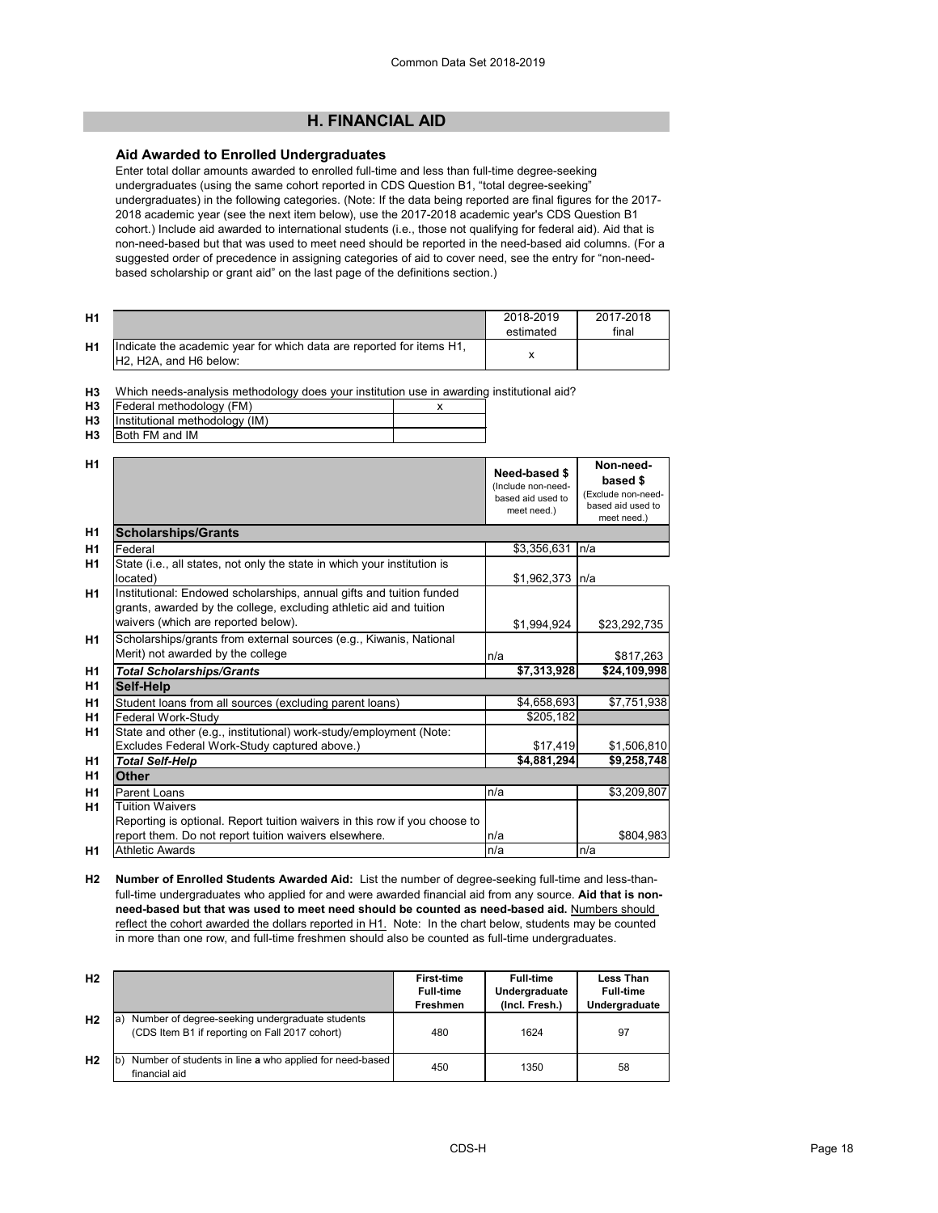**Non-needbased \$** 

# **H. FINANCIAL AID**

# **Aid Awarded to Enrolled Undergraduates**

Enter total dollar amounts awarded to enrolled full-time and less than full-time degree-seeking undergraduates (using the same cohort reported in CDS Question B1, "total degree-seeking" undergraduates) in the following categories. (Note: If the data being reported are final figures for the 2017- 2018 academic year (see the next item below), use the 2017-2018 academic year's CDS Question B1 cohort.) Include aid awarded to international students (i.e., those not qualifying for federal aid). Aid that is non-need-based but that was used to meet need should be reported in the need-based aid columns. (For a suggested order of precedence in assigning categories of aid to cover need, see the entry for "non-needbased scholarship or grant aid" on the last page of the definitions section.)

| <b>H1</b> |                                                                                                                                      | 2018-2019<br>estimated | 2017-2018<br>final |
|-----------|--------------------------------------------------------------------------------------------------------------------------------------|------------------------|--------------------|
| H1        | Indicate the academic year for which data are reported for items H1,<br>H <sub>2</sub> , H <sub>2</sub> A, and H <sub>6</sub> below: |                        |                    |

**H3** Which needs-analysis methodology does your institution use in awarding institutional aid?

| H3 | Federal methodology (FM)                       |  |
|----|------------------------------------------------|--|
|    | <b>H3</b> Institutional methodology (IM)       |  |
| பு | $ID$ <sub>ath</sub> $F11$ <sub>and</sub> $IR1$ |  |

|                |                | Need-based \$<br>lnclude non-need- |
|----------------|----------------|------------------------------------|
| H1             |                |                                    |
| H <sub>3</sub> | Both FM and IM |                                    |

|                |                                                                                                                                                                                   | (Include non-need-<br>based aid used to<br>meet need.) | nasea ⊅<br>(Exclude non-need-<br>based aid used to<br>meet need.) |
|----------------|-----------------------------------------------------------------------------------------------------------------------------------------------------------------------------------|--------------------------------------------------------|-------------------------------------------------------------------|
| H <sub>1</sub> | <b>Scholarships/Grants</b>                                                                                                                                                        |                                                        |                                                                   |
| H1             | Federal                                                                                                                                                                           | \$3,356,631                                            | n/a                                                               |
| H <sub>1</sub> | State (i.e., all states, not only the state in which your institution is<br>located)                                                                                              | \$1,962,373                                            | In/a                                                              |
| H <sub>1</sub> | Institutional: Endowed scholarships, annual gifts and tuition funded<br>grants, awarded by the college, excluding athletic aid and tuition<br>waivers (which are reported below). | \$1,994,924                                            | \$23,292,735                                                      |
| H1             | Scholarships/grants from external sources (e.g., Kiwanis, National<br>Merit) not awarded by the college                                                                           | n/a                                                    | \$817,263                                                         |
| H <sub>1</sub> | <b>Total Scholarships/Grants</b>                                                                                                                                                  | \$7,313,928                                            | \$24,109,998                                                      |
| H <sub>1</sub> | <b>Self-Help</b>                                                                                                                                                                  |                                                        |                                                                   |
| H <sub>1</sub> | Student loans from all sources (excluding parent loans)                                                                                                                           | \$4,658,693                                            | \$7,751,938                                                       |
| H1             | Federal Work-Study                                                                                                                                                                | \$205,182                                              |                                                                   |
| H <sub>1</sub> | State and other (e.g., institutional) work-study/employment (Note:                                                                                                                |                                                        |                                                                   |
|                | Excludes Federal Work-Study captured above.)                                                                                                                                      | \$17,419                                               | \$1,506,810                                                       |
| H1             | <b>Total Self-Help</b>                                                                                                                                                            | \$4,881,294                                            | \$9,258,748                                                       |
| H <sub>1</sub> | <b>Other</b>                                                                                                                                                                      |                                                        |                                                                   |
| H <sub>1</sub> | Parent Loans                                                                                                                                                                      | n/a                                                    | \$3,209,807                                                       |
| H1             | <b>Tuition Waivers</b>                                                                                                                                                            |                                                        |                                                                   |
|                | Reporting is optional. Report tuition waivers in this row if you choose to                                                                                                        |                                                        |                                                                   |
|                | report them. Do not report tuition waivers elsewhere.                                                                                                                             | n/a                                                    | \$804,983                                                         |
| H1             | <b>Athletic Awards</b>                                                                                                                                                            | n/a                                                    | n/a                                                               |

**H2 Number of Enrolled Students Awarded Aid:** List the number of degree-seeking full-time and less-thanfull-time undergraduates who applied for and were awarded financial aid from any source. **Aid that is nonneed-based but that was used to meet need should be counted as need-based aid.** Numbers should reflect the cohort awarded the dollars reported in H1. Note: In the chart below, students may be counted in more than one row, and full-time freshmen should also be counted as full-time undergraduates.

| H <sub>2</sub> |                                                                                                         | <b>First-time</b><br><b>Full-time</b><br><b>Freshmen</b> | <b>Full-time</b><br>Undergraduate<br>(Incl. Fresh.) | <b>Less Than</b><br><b>Full-time</b><br>Undergraduate |
|----------------|---------------------------------------------------------------------------------------------------------|----------------------------------------------------------|-----------------------------------------------------|-------------------------------------------------------|
| H <sub>2</sub> | Number of degree-seeking undergraduate students<br>ıa<br>(CDS Item B1 if reporting on Fall 2017 cohort) | 480                                                      | 1624                                                | -97                                                   |
| H <sub>2</sub> | Number of students in line a who applied for need-based<br>financial aid                                | 450                                                      | 1350                                                | 58                                                    |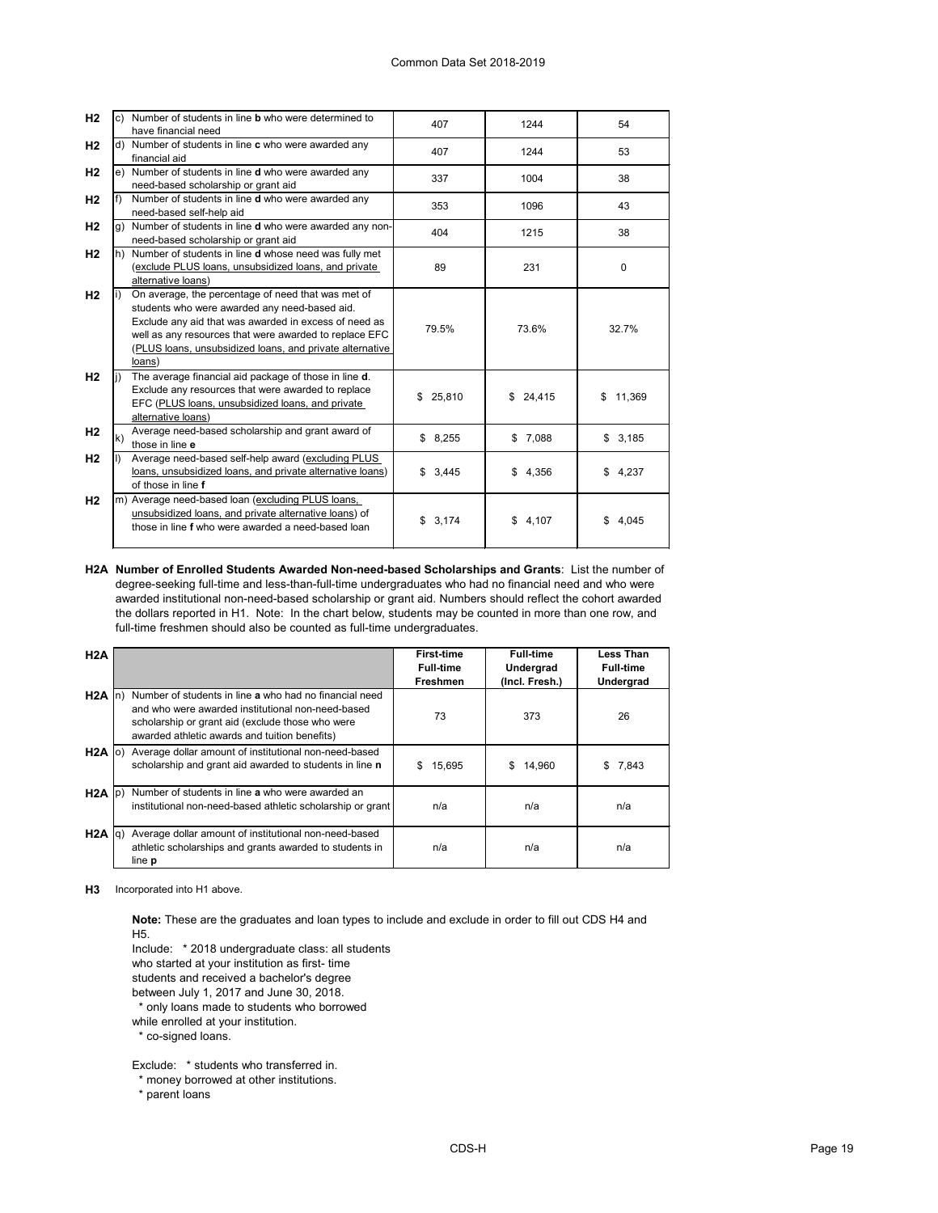| H <sub>2</sub> |     | c) Number of students in line <b>b</b> who were determined to<br>have financial need                                                                                                                                                                                                         | 407      | 1244        | 54            |
|----------------|-----|----------------------------------------------------------------------------------------------------------------------------------------------------------------------------------------------------------------------------------------------------------------------------------------------|----------|-------------|---------------|
| H <sub>2</sub> | d)  | Number of students in line c who were awarded any<br>financial aid                                                                                                                                                                                                                           | 407      | 1244        | 53            |
| H <sub>2</sub> |     | e) Number of students in line <b>d</b> who were awarded any<br>need-based scholarship or grant aid                                                                                                                                                                                           | 337      | 1004        | 38            |
| H <sub>2</sub> | lf) | Number of students in line d who were awarded any<br>need-based self-help aid                                                                                                                                                                                                                | 353      | 1096        | 43            |
| H <sub>2</sub> | g)  | Number of students in line d who were awarded any non-<br>need-based scholarship or grant aid                                                                                                                                                                                                | 404      | 1215        | 38            |
| H <sub>2</sub> | h)  | Number of students in line d whose need was fully met<br>(exclude PLUS loans, unsubsidized loans, and private<br>alternative loans)                                                                                                                                                          | 89       | 231         | $\Omega$      |
| H <sub>2</sub> |     | On average, the percentage of need that was met of<br>students who were awarded any need-based aid.<br>Exclude any aid that was awarded in excess of need as<br>well as any resources that were awarded to replace EFC<br>(PLUS loans, unsubsidized loans, and private alternative<br>loans) | 79.5%    | 73.6%       | 32.7%         |
| H <sub>2</sub> |     | The average financial aid package of those in line d.<br>Exclude any resources that were awarded to replace<br>EFC (PLUS loans, unsubsidized loans, and private<br>alternative loans)                                                                                                        | \$25,810 | \$24,415    | 11,369<br>\$. |
| H <sub>2</sub> | k)  | Average need-based scholarship and grant award of<br>those in line e                                                                                                                                                                                                                         | \$8,255  | \$7,088     | \$3,185       |
| H <sub>2</sub> |     | Average need-based self-help award (excluding PLUS<br>loans, unsubsidized loans, and private alternative loans)<br>of those in line f                                                                                                                                                        | \$3,445  | \$<br>4,356 | 4,237<br>\$   |
| H <sub>2</sub> |     | m) Average need-based loan (excluding PLUS loans,<br>unsubsidized loans, and private alternative loans) of<br>those in line f who were awarded a need-based loan                                                                                                                             | \$3,174  | \$<br>4,107 | 4,045<br>\$.  |

**H2A Number of Enrolled Students Awarded Non-need-based Scholarships and Grants**: List the number of degree-seeking full-time and less-than-full-time undergraduates who had no financial need and who were awarded institutional non-need-based scholarship or grant aid. Numbers should reflect the cohort awarded the dollars reported in H1. Note: In the chart below, students may be counted in more than one row, and full-time freshmen should also be counted as full-time undergraduates.

| H2A        |                                                                                                                                                                                                                  | <b>First-time</b><br><b>Full-time</b><br><b>Freshmen</b> | <b>Full-time</b><br>Undergrad<br>(Incl. Fresh.) | <b>Less Than</b><br><b>Full-time</b><br><b>Undergrad</b> |
|------------|------------------------------------------------------------------------------------------------------------------------------------------------------------------------------------------------------------------|----------------------------------------------------------|-------------------------------------------------|----------------------------------------------------------|
| $H2A \ln$  | Number of students in line a who had no financial need<br>and who were awarded institutional non-need-based<br>scholarship or grant aid (exclude those who were<br>awarded athletic awards and tuition benefits) | 73                                                       | 373                                             | 26                                                       |
| $H2A$ (o)  | Average dollar amount of institutional non-need-based<br>scholarship and grant aid awarded to students in line n                                                                                                 | 15,695<br>\$.                                            | \$.<br>14,960                                   | 7,843<br>\$                                              |
| $H2A$  p)  | Number of students in line a who were awarded an<br>institutional non-need-based athletic scholarship or grant                                                                                                   | n/a                                                      | n/a                                             | n/a                                                      |
| $H2A$ $q)$ | Average dollar amount of institutional non-need-based<br>athletic scholarships and grants awarded to students in<br>line <b>p</b>                                                                                | n/a                                                      | n/a                                             | n/a                                                      |

**H3** Incorporated into H1 above.

**Note:** These are the graduates and loan types to include and exclude in order to fill out CDS H4 and H5.

Include: \* 2018 undergraduate class: all students

who started at your institution as first- time

students and received a bachelor's degree

between July 1, 2017 and June 30, 2018.

\* only loans made to students who borrowed

while enrolled at your institution.

\* co-signed loans.

Exclude: \* students who transferred in.

\* money borrowed at other institutions.

\* parent loans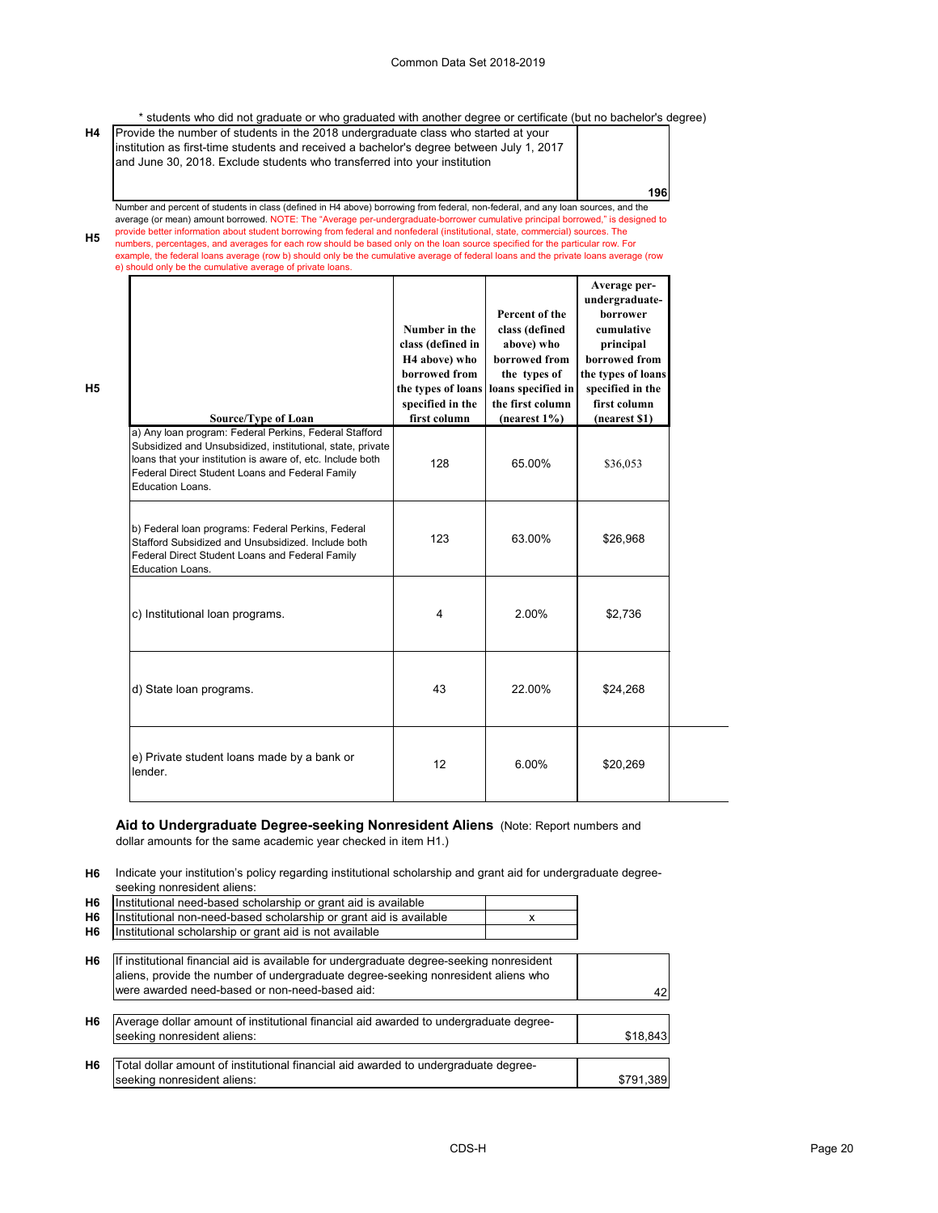\* students who did not graduate or who graduated with another degree or certificate (but no bachelor's degree)

| <b>H4</b> | Provide the number of students in the 2018 undergraduate class who started at your<br>institution as first-time students and received a bachelor's degree between July 1, 2017<br>and June 30, 2018. Exclude students who transferred into your institution |            |
|-----------|-------------------------------------------------------------------------------------------------------------------------------------------------------------------------------------------------------------------------------------------------------------|------------|
|           |                                                                                                                                                                                                                                                             | <b>196</b> |
|           | Number and percent of students in class (defined in H4 above) borrowing from federal, non-federal, and any loan sources, and the                                                                                                                            |            |

**H5** average (or mean) amount borrowed. NOTE: The "Average per-undergraduate-borrower cumulative principal borrowed," is designed to provide better information about student borrowing from federal and nonfederal (institutional, state, commercial) sources. The numbers, percentages, and averages for each row should be based only on the loan source specified for the particular row. For example, the federal loans average (row b) should only be the cumulative average of federal loans and the private loans average (row

e) should only be the cumulative average of private loans.

**H5**

| <b>Source/Type of Loan</b>                                                                                                                                                                                                                                       | Number in the<br>class (defined in<br>H <sub>4</sub> above) who<br>borrowed from<br>the types of loans<br>specified in the<br>first column | Percent of the<br>class (defined<br>above) who<br>borrowed from<br>the types of<br>loans specified in<br>the first column<br>$(nearest 1\%)$ | Average per-<br>undergraduate-<br>borrower<br>cumulative<br>principal<br>borrowed from<br>the types of loans<br>specified in the<br>first column<br>(nearest \$1) |
|------------------------------------------------------------------------------------------------------------------------------------------------------------------------------------------------------------------------------------------------------------------|--------------------------------------------------------------------------------------------------------------------------------------------|----------------------------------------------------------------------------------------------------------------------------------------------|-------------------------------------------------------------------------------------------------------------------------------------------------------------------|
| a) Any loan program: Federal Perkins, Federal Stafford<br>Subsidized and Unsubsidized, institutional, state, private<br>loans that your institution is aware of, etc. Include both<br>Federal Direct Student Loans and Federal Family<br><b>Education Loans.</b> | 128                                                                                                                                        | 65.00%                                                                                                                                       | \$36,053                                                                                                                                                          |
| b) Federal loan programs: Federal Perkins, Federal<br>Stafford Subsidized and Unsubsidized. Include both<br>Federal Direct Student Loans and Federal Family<br>Education Loans.                                                                                  | 123                                                                                                                                        | 63.00%                                                                                                                                       | \$26,968                                                                                                                                                          |
| c) Institutional loan programs.                                                                                                                                                                                                                                  | $\overline{4}$                                                                                                                             | 2.00%                                                                                                                                        | \$2,736                                                                                                                                                           |
| d) State loan programs.                                                                                                                                                                                                                                          | 43                                                                                                                                         | 22.00%                                                                                                                                       | \$24,268                                                                                                                                                          |
| e) Private student loans made by a bank or<br>lender.                                                                                                                                                                                                            | 12                                                                                                                                         | 6.00%                                                                                                                                        | \$20,269                                                                                                                                                          |

# **Aid to Undergraduate Degree-seeking Nonresident Aliens** (Note: Report numbers and dollar amounts for the same academic year checked in item H1.)

**H6** Indicate your institution's policy regarding institutional scholarship and grant aid for undergraduate degreeseeking nonresident aliens:

| H <sub>6</sub> | Institutional need-based scholarship or grant aid is available     |  |
|----------------|--------------------------------------------------------------------|--|
| H <sub>6</sub> | Institutional non-need-based scholarship or grant aid is available |  |
| H <sub>6</sub> | Institutional scholarship or grant aid is not available            |  |

| H <sub>6</sub> | If institutional financial aid is available for undergraduate degree-seeking nonresident<br>aliens, provide the number of undergraduate degree-seeking nonresident aliens who<br>were awarded need-based or non-need-based aid: | 42        |
|----------------|---------------------------------------------------------------------------------------------------------------------------------------------------------------------------------------------------------------------------------|-----------|
| H <sub>6</sub> | Average dollar amount of institutional financial aid awarded to undergraduate degree-<br>seeking nonresident aliens:                                                                                                            | \$18,843  |
| H6             | Total dollar amount of institutional financial aid awarded to undergraduate degree-<br>seeking nonresident aliens:                                                                                                              | \$791,389 |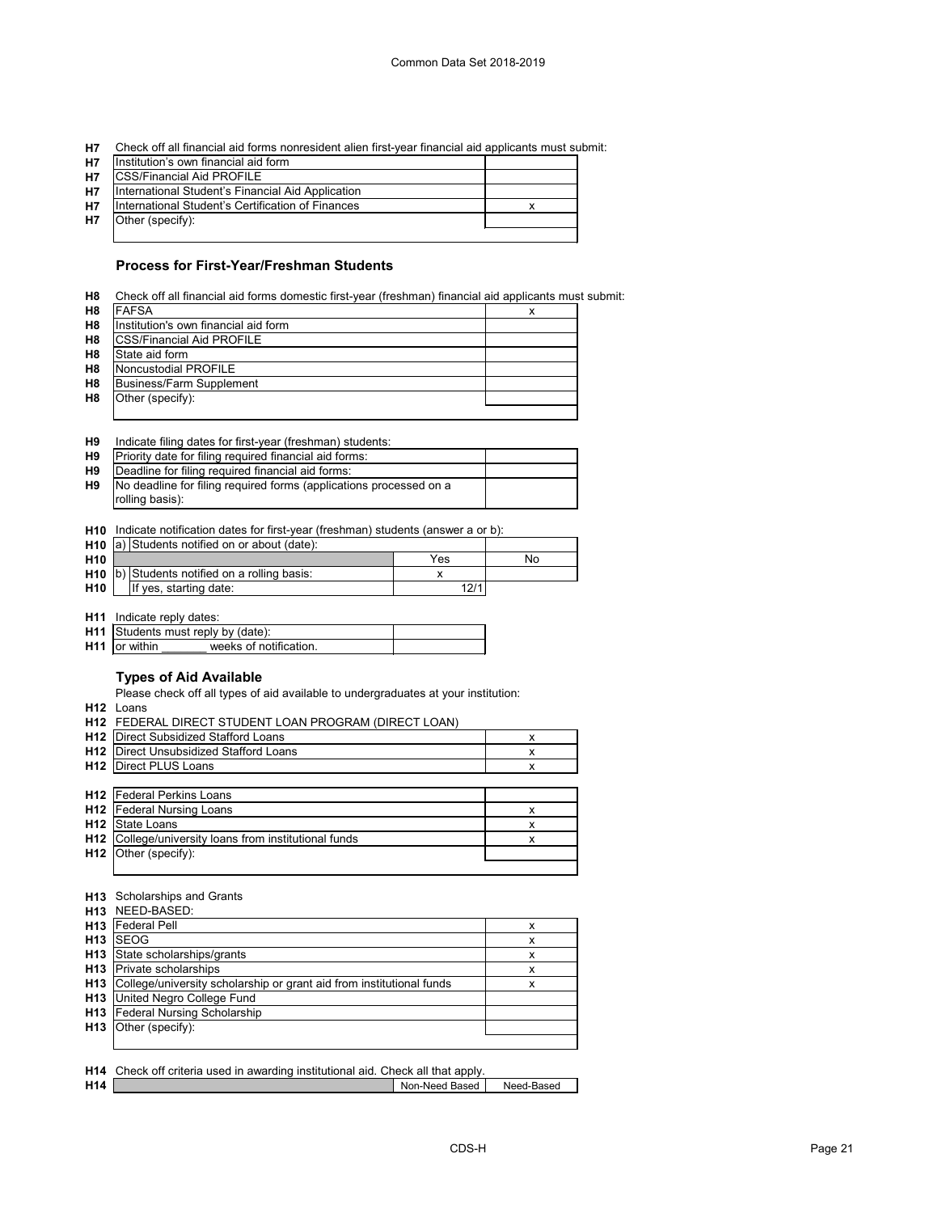**H7** Check off all financial aid forms nonresident alien first-year financial aid applicants must submit:

| <b>H7</b> | Institution's own financial aid form              |  |
|-----------|---------------------------------------------------|--|
| H7        | <b>CSS/Financial Aid PROFILE</b>                  |  |
| <b>H7</b> | International Student's Financial Aid Application |  |
| <b>H7</b> | International Student's Certification of Finances |  |
| <b>H7</b> | Other (specify):                                  |  |
|           |                                                   |  |

# **Process for First-Year/Freshman Students**

| H8             | Check off all financial aid forms domestic first-year (freshman) financial aid applicants must submit: |  |
|----------------|--------------------------------------------------------------------------------------------------------|--|
| H <sub>8</sub> | <b>FAFSA</b>                                                                                           |  |
| H <sub>8</sub> | Institution's own financial aid form                                                                   |  |
| H <sub>8</sub> | <b>CSS/Financial Aid PROFILE</b>                                                                       |  |
| H <sub>8</sub> | State aid form                                                                                         |  |
| H <sub>8</sub> | Noncustodial PROFILE                                                                                   |  |
| H <sub>8</sub> | <b>Business/Farm Supplement</b>                                                                        |  |
| H <sub>8</sub> | Other (specify):                                                                                       |  |
|                |                                                                                                        |  |

| H9 |  |  | Indicate filing dates for first-year (freshman) students: |  |
|----|--|--|-----------------------------------------------------------|--|
|----|--|--|-----------------------------------------------------------|--|

| <b>H9</b> | Priority date for filing required financial aid forms:             |  |
|-----------|--------------------------------------------------------------------|--|
| H9        | Deadline for filing required financial aid forms:                  |  |
| H9        | No deadline for filing required forms (applications processed on a |  |
|           | rolling basis):                                                    |  |

**H10** Indicate notification dates for first-year (freshman) students (answer a or b):

|                 | <b>H10</b> $ a $ Students notified on or about (date): |      |    |
|-----------------|--------------------------------------------------------|------|----|
| H <sub>10</sub> |                                                        | Yes  | No |
|                 | $H10$ b) Students notified on a rolling basis:         |      |    |
| H10             | If yes, starting date:                                 | 12/1 |    |

**H11** Indicate reply dates:

|                 | <b>H11</b> Students must reply by (date): |  |
|-----------------|-------------------------------------------|--|
| $H11$ or within | weeks of notification                     |  |

# **Types of Aid Available**

Please check off all types of aid available to undergraduates at your institution:

**H12** Loans

#### **H13** Scholarships and Grants

|                 | <b>H13</b> NEED-BASED:                                               |   |
|-----------------|----------------------------------------------------------------------|---|
| H <sub>13</sub> | <b>Federal Pell</b>                                                  | х |
| H <sub>13</sub> | <b>SEOG</b>                                                          | x |
| H <sub>13</sub> | State scholarships/grants                                            | x |
| H <sub>13</sub> | Private scholarships                                                 | х |
| H <sub>13</sub> | College/university scholarship or grant aid from institutional funds | х |
| H <sub>13</sub> | United Negro College Fund                                            |   |
| H <sub>13</sub> | <b>Federal Nursing Scholarship</b>                                   |   |
| H <sub>13</sub> | Other (specify):                                                     |   |
|                 |                                                                      |   |
|                 |                                                                      |   |

|                 | <b>H14</b> Check off criteria used in awarding institutional aid. Check all that apply. |                |            |
|-----------------|-----------------------------------------------------------------------------------------|----------------|------------|
| H <sub>14</sub> |                                                                                         | Non-Need Based | Need-Based |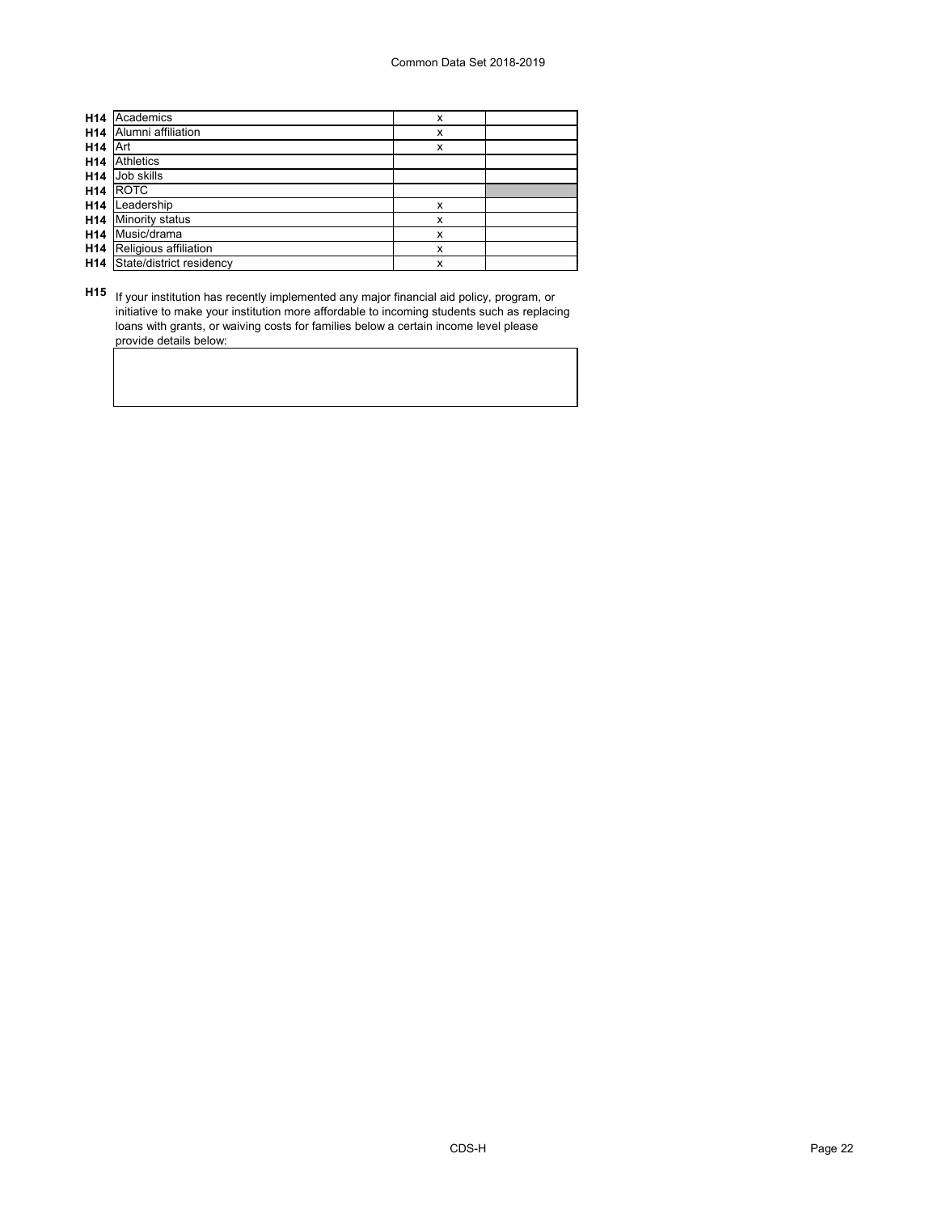| H <sub>14</sub> | Academics                | X |  |
|-----------------|--------------------------|---|--|
| H14             | Alumni affiliation       | x |  |
| H <sub>14</sub> | Art                      | x |  |
| H14             | <b>Athletics</b>         |   |  |
| H14             | Job skills               |   |  |
| H <sub>14</sub> | <b>ROTC</b>              |   |  |
| H14             | Leadership               | x |  |
| H <sub>14</sub> | <b>Minority status</b>   | X |  |
| H <sub>14</sub> | Music/drama              | x |  |
| H14             | Religious affiliation    | x |  |
| H14             | State/district residency | x |  |

**H15** If your institution has recently implemented any major financial aid policy, program, or initiative to make your institution more affordable to incoming students such as replacing loans with grants, or waiving costs for families below a certain income level please provide details below: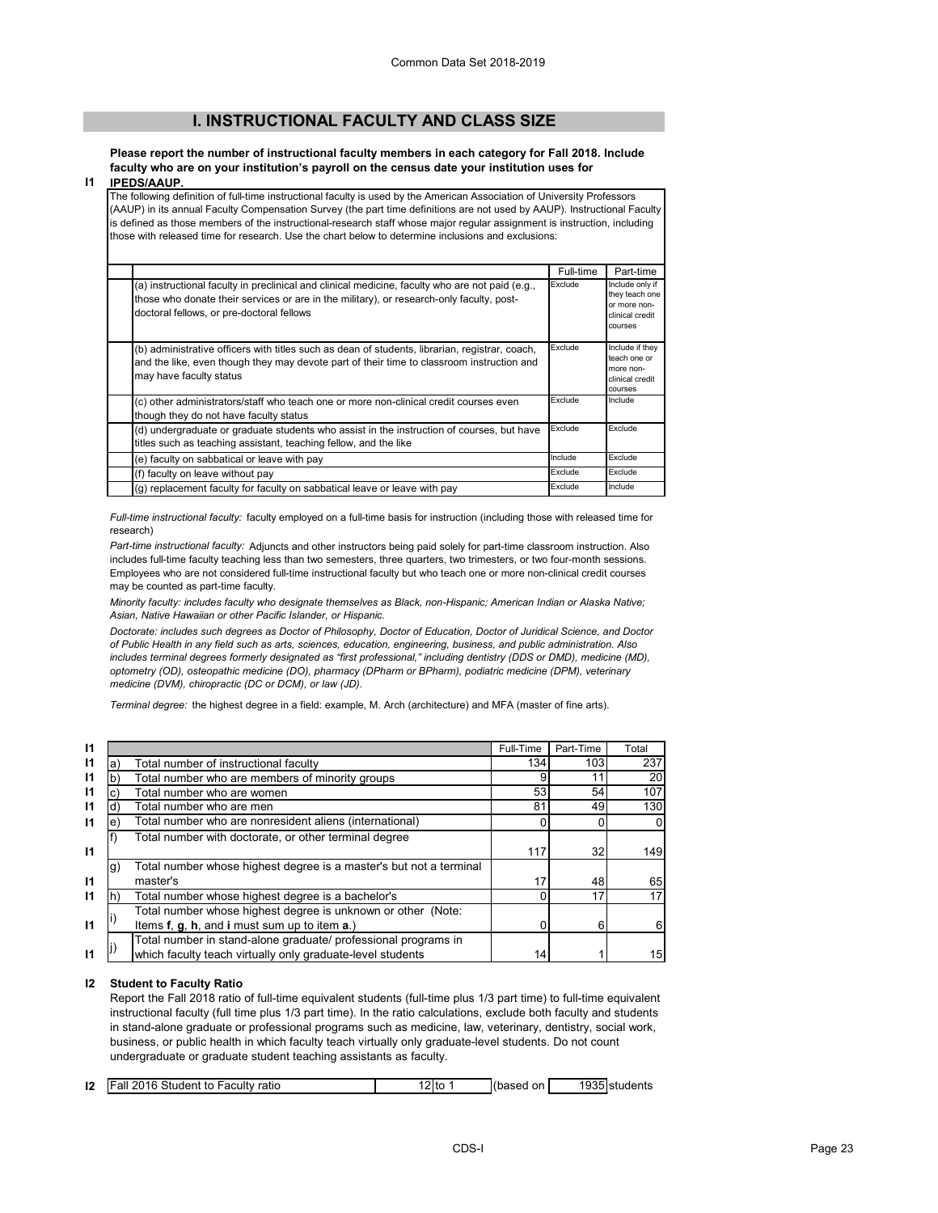# **I. INSTRUCTIONAL FACULTY AND CLASS SIZE**

**Please report the number of instructional faculty members in each category for Fall 2018. Include faculty who are on your institution's payroll on the census date your institution uses for** 

#### **I1 IPEDS/AAUP.**

The following definition of full-time instructional faculty is used by the American Association of University Professors (AAUP) in its annual Faculty Compensation Survey (the part time definitions are not used by AAUP). Instructional Faculty is defined as those members of the instructional-research staff whose major regular assignment is instruction, including those with released time for research. Use the chart below to determine inclusions and exclusions:

|                                                                                                                                                                                                                                          | Full-time | Part-time                                                                       |
|------------------------------------------------------------------------------------------------------------------------------------------------------------------------------------------------------------------------------------------|-----------|---------------------------------------------------------------------------------|
| (a) instructional faculty in preclinical and clinical medicine, faculty who are not paid (e.g.,<br>those who donate their services or are in the military), or research-only faculty, post-<br>doctoral fellows, or pre-doctoral fellows | Exclude   | Include only if<br>they teach one<br>or more non-<br>clinical credit<br>courses |
| (b) administrative officers with titles such as dean of students, librarian, registrar, coach,<br>and the like, even though they may devote part of their time to classroom instruction and<br>may have faculty status                   | Exclude   | Include if they<br>teach one or<br>more non-<br>clinical credit<br>courses      |
| (c) other administrators/staff who teach one or more non-clinical credit courses even<br>though they do not have faculty status                                                                                                          | Exclude   | Include                                                                         |
| (d) undergraduate or graduate students who assist in the instruction of courses, but have<br>titles such as teaching assistant, teaching fellow, and the like                                                                            | Exclude   | Exclude                                                                         |
| (e) faculty on sabbatical or leave with pay                                                                                                                                                                                              | Include   | Exclude                                                                         |
| (f) faculty on leave without pay                                                                                                                                                                                                         | Exclude   | Exclude                                                                         |
| (g) replacement faculty for faculty on sabbatical leave or leave with pay                                                                                                                                                                | Exclude   | Include                                                                         |

*Full-time instructional faculty:* faculty employed on a full-time basis for instruction (including those with released time for research)

*Part-time instructional faculty:* Adjuncts and other instructors being paid solely for part-time classroom instruction. Also includes full-time faculty teaching less than two semesters, three quarters, two trimesters, or two four-month sessions. Employees who are not considered full-time instructional faculty but who teach one or more non-clinical credit courses may be counted as part-time faculty.

*Minority faculty: includes faculty who designate themselves as Black, non-Hispanic; American Indian or Alaska Native; Asian, Native Hawaiian or other Pacific Islander, or Hispanic.* 

*Doctorate: includes such degrees as Doctor of Philosophy, Doctor of Education, Doctor of Juridical Science, and Doctor of Public Health in any field such as arts, sciences, education, engineering, business, and public administration. Also*  includes terminal degrees formerly designated as "first professional," including dentistry (DDS or DMD), medicine (MD), *optometry (OD), osteopathic medicine (DO), pharmacy (DPharm or BPharm), podiatric medicine (DPM), veterinary medicine (DVM), chiropractic (DC or DCM), or law (JD).*

*Terminal degree:* the highest degree in a field: example, M. Arch (architecture) and MFA (master of fine arts).

| $\mathsf{I}$ |                                                                          | Full-Time | Part-Time | Total       |
|--------------|--------------------------------------------------------------------------|-----------|-----------|-------------|
| $\mathsf{I}$ | Total number of instructional faculty<br>a,                              | 134       | 103       | 237         |
| $\mathsf{I}$ | Total number who are members of minority groups                          |           | 11        | 20          |
| $\mathsf{I}$ | Total number who are women                                               | 53        | 54        | 107         |
| $\mathsf{I}$ | Total number who are men<br>ď                                            | 81        | 49        | 130         |
| $\mathsf{I}$ | Total number who are nonresident aliens (international)<br>e             |           |           | $\mathbf 0$ |
|              | Total number with doctorate, or other terminal degree                    |           |           |             |
| $\mathbf{I}$ |                                                                          | 117       | 32        | 149         |
|              | Total number whose highest degree is a master's but not a terminal<br>g) |           |           |             |
| $\mathbf{I}$ | master's                                                                 | 17        | 48        | 65          |
| 11           | Total number whose highest degree is a bachelor's<br>Ih:                 |           | 17        | 17          |
|              | Total number whose highest degree is unknown or other (Note:             |           |           |             |
| $\mathsf{I}$ | Items f, g, h, and i must sum up to item a.)                             |           | 6         | 6           |
|              | Total number in stand-alone graduate/ professional programs in           |           |           |             |
|              | which faculty teach virtually only graduate-level students               | 14        |           | 15          |

### **I2 Student to Faculty Ratio**

Report the Fall 2018 ratio of full-time equivalent students (full-time plus 1/3 part time) to full-time equivalent instructional faculty (full time plus 1/3 part time). In the ratio calculations, exclude both faculty and students in stand-alone graduate or professional programs such as medicine, law, veterinary, dentistry, social work, business, or public health in which faculty teach virtually only graduate-level students. Do not count undergraduate or graduate student teaching assistants as faculty.

| 12 | <b>Fall 2016 Student to Faculty ratio</b> | ≀≀≀ | on.<br>(based | ា935Istudenเง |
|----|-------------------------------------------|-----|---------------|---------------|
|    |                                           |     |               |               |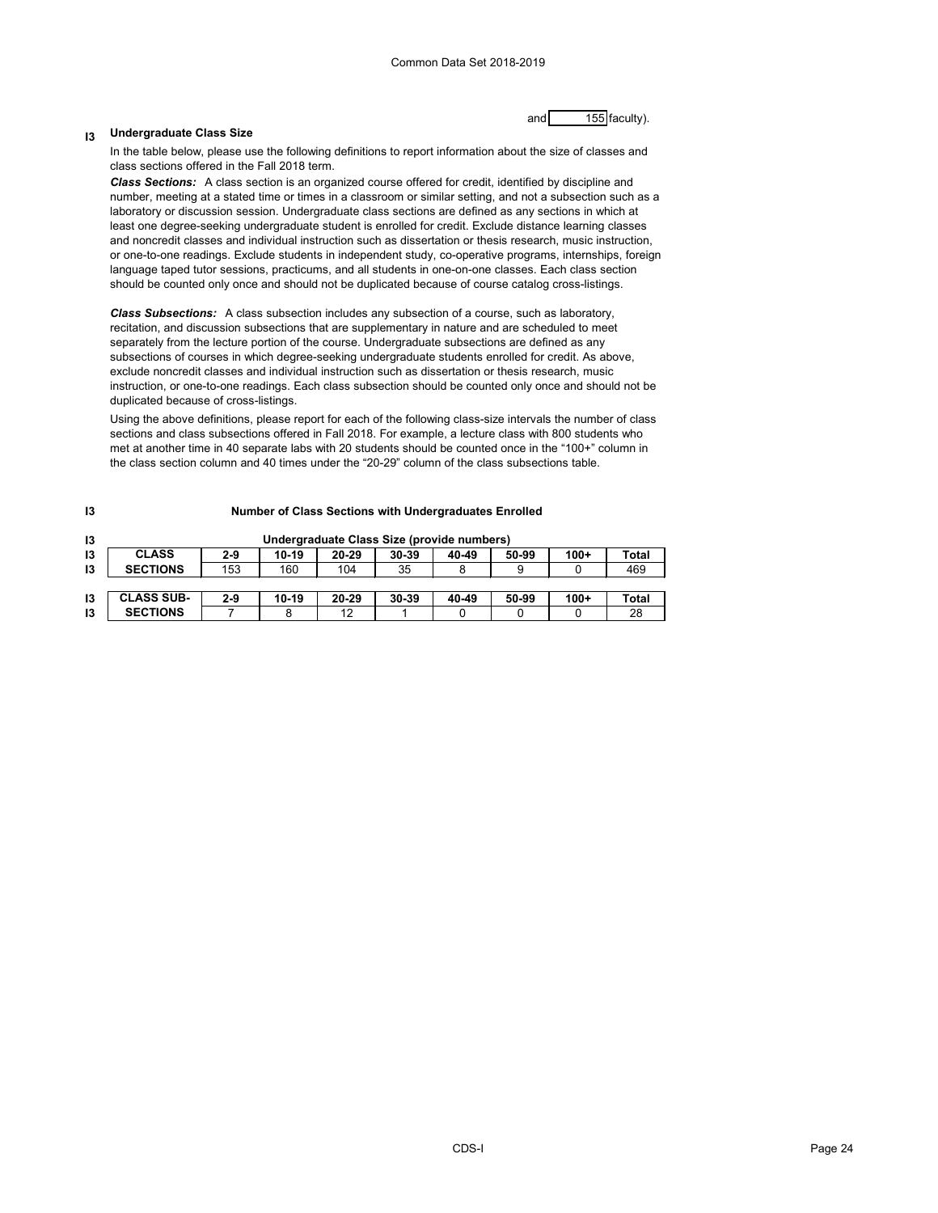#### **I3 Undergraduate Class Size**

and 155 faculty).

In the table below, please use the following definitions to report information about the size of classes and class sections offered in the Fall 2018 term.

*Class Sections:* A class section is an organized course offered for credit, identified by discipline and number, meeting at a stated time or times in a classroom or similar setting, and not a subsection such as a laboratory or discussion session. Undergraduate class sections are defined as any sections in which at least one degree-seeking undergraduate student is enrolled for credit. Exclude distance learning classes and noncredit classes and individual instruction such as dissertation or thesis research, music instruction, or one-to-one readings. Exclude students in independent study, co-operative programs, internships, foreign language taped tutor sessions, practicums, and all students in one-on-one classes. Each class section should be counted only once and should not be duplicated because of course catalog cross-listings.

*Class Subsections:* A class subsection includes any subsection of a course, such as laboratory, recitation, and discussion subsections that are supplementary in nature and are scheduled to meet separately from the lecture portion of the course. Undergraduate subsections are defined as any subsections of courses in which degree-seeking undergraduate students enrolled for credit. As above, exclude noncredit classes and individual instruction such as dissertation or thesis research, music instruction, or one-to-one readings. Each class subsection should be counted only once and should not be duplicated because of cross-listings.

Using the above definitions, please report for each of the following class-size intervals the number of class sections and class subsections offered in Fall 2018. For example, a lecture class with 800 students who met at another time in 40 separate labs with 20 students should be counted once in the "100+" column in the class section column and 40 times under the "20-29" column of the class subsections table.

| I3 | <b>Number of Class Sections with Undergraduates Enrolled</b> |         |         |           |           |       |       |        |       |
|----|--------------------------------------------------------------|---------|---------|-----------|-----------|-------|-------|--------|-------|
| 13 | Undergraduate Class Size (provide numbers)                   |         |         |           |           |       |       |        |       |
| 13 | <b>CLASS</b>                                                 | $2 - 9$ | $10-19$ | $20 - 29$ | $30 - 39$ | 40-49 | 50-99 | $100+$ | Total |
| 13 | <b>SECTIONS</b>                                              | 153     | 160     | 104       | 35        |       |       |        | 469   |
|    |                                                              |         |         |           |           |       |       |        |       |
| 13 | <b>CLASS SUB-</b>                                            | $2 - 9$ | $10-19$ | $20 - 29$ | $30 - 39$ | 40-49 | 50-99 | $100+$ | Total |
| 13 | <b>SECTIONS</b>                                              |         | 8       | 12        |           |       |       |        | 28    |

### CDS-I Page 24